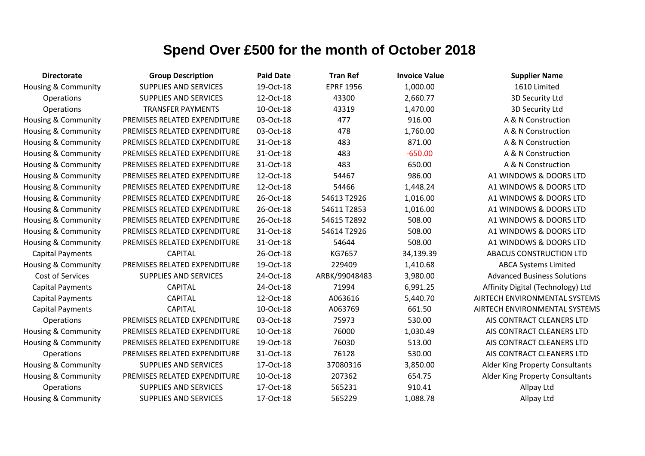| <b>Directorate</b>             | <b>Group Description</b>     | <b>Paid Date</b> | <b>Tran Ref</b>  | <b>Invoice Value</b> | <b>Supplier Name</b>                   |
|--------------------------------|------------------------------|------------------|------------------|----------------------|----------------------------------------|
| <b>Housing &amp; Community</b> | <b>SUPPLIES AND SERVICES</b> | 19-Oct-18        | <b>EPRF 1956</b> | 1,000.00             | 1610 Limited                           |
| Operations                     | SUPPLIES AND SERVICES        | 12-Oct-18        | 43300            | 2,660.77             | 3D Security Ltd                        |
| Operations                     | <b>TRANSFER PAYMENTS</b>     | 10-Oct-18        | 43319            | 1,470.00             | 3D Security Ltd                        |
| <b>Housing &amp; Community</b> | PREMISES RELATED EXPENDITURE | 03-Oct-18        | 477              | 916.00               | A & N Construction                     |
| <b>Housing &amp; Community</b> | PREMISES RELATED EXPENDITURE | 03-Oct-18        | 478              | 1,760.00             | A & N Construction                     |
| <b>Housing &amp; Community</b> | PREMISES RELATED EXPENDITURE | 31-Oct-18        | 483              | 871.00               | A & N Construction                     |
| Housing & Community            | PREMISES RELATED EXPENDITURE | 31-Oct-18        | 483              | $-650.00$            | A & N Construction                     |
| <b>Housing &amp; Community</b> | PREMISES RELATED EXPENDITURE | 31-Oct-18        | 483              | 650.00               | A & N Construction                     |
| <b>Housing &amp; Community</b> | PREMISES RELATED EXPENDITURE | 12-Oct-18        | 54467            | 986.00               | A1 WINDOWS & DOORS LTD                 |
| <b>Housing &amp; Community</b> | PREMISES RELATED EXPENDITURE | 12-Oct-18        | 54466            | 1,448.24             | A1 WINDOWS & DOORS LTD                 |
| Housing & Community            | PREMISES RELATED EXPENDITURE | 26-Oct-18        | 54613 T2926      | 1,016.00             | A1 WINDOWS & DOORS LTD                 |
| <b>Housing &amp; Community</b> | PREMISES RELATED EXPENDITURE | 26-Oct-18        | 54611 T2853      | 1,016.00             | A1 WINDOWS & DOORS LTD                 |
| <b>Housing &amp; Community</b> | PREMISES RELATED EXPENDITURE | 26-Oct-18        | 54615 T2892      | 508.00               | A1 WINDOWS & DOORS LTD                 |
| <b>Housing &amp; Community</b> | PREMISES RELATED EXPENDITURE | 31-Oct-18        | 54614 T2926      | 508.00               | A1 WINDOWS & DOORS LTD                 |
| Housing & Community            | PREMISES RELATED EXPENDITURE | 31-Oct-18        | 54644            | 508.00               | A1 WINDOWS & DOORS LTD                 |
| <b>Capital Payments</b>        | <b>CAPITAL</b>               | 26-Oct-18        | KG7657           | 34,139.39            | ABACUS CONSTRUCTION LTD                |
| <b>Housing &amp; Community</b> | PREMISES RELATED EXPENDITURE | 19-Oct-18        | 229409           | 1,410.68             | <b>ABCA Systems Limited</b>            |
| Cost of Services               | <b>SUPPLIES AND SERVICES</b> | 24-Oct-18        | ARBK/99048483    | 3,980.00             | <b>Advanced Business Solutions</b>     |
| <b>Capital Payments</b>        | <b>CAPITAL</b>               | 24-Oct-18        | 71994            | 6,991.25             | Affinity Digital (Technology) Ltd      |
| <b>Capital Payments</b>        | <b>CAPITAL</b>               | 12-Oct-18        | A063616          | 5,440.70             | AIRTECH ENVIRONMENTAL SYSTEMS          |
| <b>Capital Payments</b>        | <b>CAPITAL</b>               | 10-Oct-18        | A063769          | 661.50               | AIRTECH ENVIRONMENTAL SYSTEMS          |
| Operations                     | PREMISES RELATED EXPENDITURE | 03-Oct-18        | 75973            | 530.00               | AIS CONTRACT CLEANERS LTD              |
| Housing & Community            | PREMISES RELATED EXPENDITURE | 10-Oct-18        | 76000            | 1,030.49             | AIS CONTRACT CLEANERS LTD              |
| <b>Housing &amp; Community</b> | PREMISES RELATED EXPENDITURE | 19-Oct-18        | 76030            | 513.00               | AIS CONTRACT CLEANERS LTD              |
| Operations                     | PREMISES RELATED EXPENDITURE | 31-Oct-18        | 76128            | 530.00               | AIS CONTRACT CLEANERS LTD              |
| <b>Housing &amp; Community</b> | <b>SUPPLIES AND SERVICES</b> | 17-Oct-18        | 37080316         | 3,850.00             | <b>Alder King Property Consultants</b> |
| <b>Housing &amp; Community</b> | PREMISES RELATED EXPENDITURE | 10-Oct-18        | 207362           | 654.75               | <b>Alder King Property Consultants</b> |
| <b>Operations</b>              | <b>SUPPLIES AND SERVICES</b> | 17-Oct-18        | 565231           | 910.41               | Allpay Ltd                             |
| <b>Housing &amp; Community</b> | <b>SUPPLIES AND SERVICES</b> | 17-Oct-18        | 565229           | 1,088.78             | Allpay Ltd                             |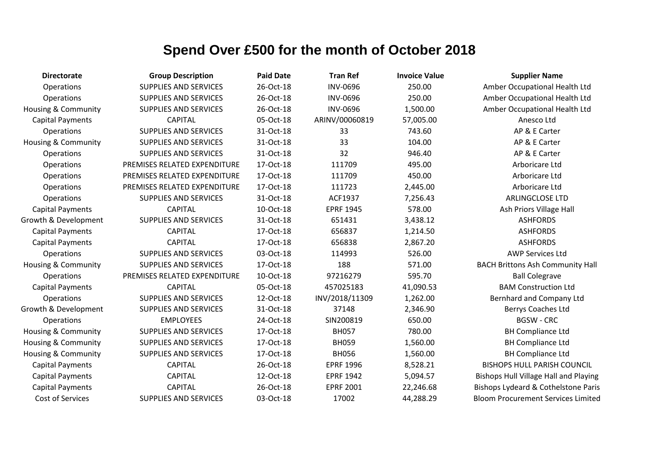| <b>Directorate</b>             | <b>Group Description</b>     | <b>Paid Date</b> | <b>Tran Ref</b>  | <b>Invoice Value</b> | <b>Supplier Name</b>                         |
|--------------------------------|------------------------------|------------------|------------------|----------------------|----------------------------------------------|
| Operations                     | <b>SUPPLIES AND SERVICES</b> | 26-Oct-18        | <b>INV-0696</b>  | 250.00               | Amber Occupational Health Ltd                |
| Operations                     | <b>SUPPLIES AND SERVICES</b> | 26-Oct-18        | <b>INV-0696</b>  | 250.00               | Amber Occupational Health Ltd                |
| Housing & Community            | <b>SUPPLIES AND SERVICES</b> | 26-Oct-18        | <b>INV-0696</b>  | 1,500.00             | Amber Occupational Health Ltd                |
| <b>Capital Payments</b>        | <b>CAPITAL</b>               | 05-Oct-18        | ARINV/00060819   | 57,005.00            | Anesco Ltd                                   |
| Operations                     | <b>SUPPLIES AND SERVICES</b> | 31-Oct-18        | 33               | 743.60               | AP & E Carter                                |
| <b>Housing &amp; Community</b> | <b>SUPPLIES AND SERVICES</b> | 31-Oct-18        | 33               | 104.00               | AP & E Carter                                |
| Operations                     | <b>SUPPLIES AND SERVICES</b> | 31-Oct-18        | 32               | 946.40               | AP & E Carter                                |
| Operations                     | PREMISES RELATED EXPENDITURE | 17-Oct-18        | 111709           | 495.00               | Arboricare Ltd                               |
| Operations                     | PREMISES RELATED EXPENDITURE | 17-Oct-18        | 111709           | 450.00               | Arboricare Ltd                               |
| Operations                     | PREMISES RELATED EXPENDITURE | 17-Oct-18        | 111723           | 2,445.00             | Arboricare Ltd                               |
| Operations                     | <b>SUPPLIES AND SERVICES</b> | 31-Oct-18        | ACF1937          | 7,256.43             | <b>ARLINGCLOSE LTD</b>                       |
| <b>Capital Payments</b>        | <b>CAPITAL</b>               | 10-Oct-18        | <b>EPRF 1945</b> | 578.00               | Ash Priors Village Hall                      |
| Growth & Development           | <b>SUPPLIES AND SERVICES</b> | 31-Oct-18        | 651431           | 3,438.12             | <b>ASHFORDS</b>                              |
| <b>Capital Payments</b>        | <b>CAPITAL</b>               | 17-Oct-18        | 656837           | 1,214.50             | <b>ASHFORDS</b>                              |
| <b>Capital Payments</b>        | <b>CAPITAL</b>               | 17-Oct-18        | 656838           | 2,867.20             | <b>ASHFORDS</b>                              |
| Operations                     | <b>SUPPLIES AND SERVICES</b> | 03-Oct-18        | 114993           | 526.00               | <b>AWP Services Ltd</b>                      |
| Housing & Community            | <b>SUPPLIES AND SERVICES</b> | 17-Oct-18        | 188              | 571.00               | <b>BACH Brittons Ash Community Hall</b>      |
| Operations                     | PREMISES RELATED EXPENDITURE | 10-Oct-18        | 97216279         | 595.70               | <b>Ball Colegrave</b>                        |
| <b>Capital Payments</b>        | <b>CAPITAL</b>               | 05-Oct-18        | 457025183        | 41,090.53            | <b>BAM Construction Ltd</b>                  |
| Operations                     | <b>SUPPLIES AND SERVICES</b> | 12-Oct-18        | INV/2018/11309   | 1,262.00             | Bernhard and Company Ltd                     |
| Growth & Development           | <b>SUPPLIES AND SERVICES</b> | 31-Oct-18        | 37148            | 2,346.90             | Berrys Coaches Ltd                           |
| Operations                     | <b>EMPLOYEES</b>             | 24-Oct-18        | SIN200819        | 650.00               | <b>BGSW - CRC</b>                            |
| Housing & Community            | <b>SUPPLIES AND SERVICES</b> | 17-Oct-18        | <b>BH057</b>     | 780.00               | <b>BH Compliance Ltd</b>                     |
| Housing & Community            | <b>SUPPLIES AND SERVICES</b> | 17-Oct-18        | <b>BH059</b>     | 1,560.00             | <b>BH Compliance Ltd</b>                     |
| Housing & Community            | <b>SUPPLIES AND SERVICES</b> | 17-Oct-18        | <b>BH056</b>     | 1,560.00             | <b>BH Compliance Ltd</b>                     |
| <b>Capital Payments</b>        | <b>CAPITAL</b>               | 26-Oct-18        | <b>EPRF 1996</b> | 8,528.21             | <b>BISHOPS HULL PARISH COUNCIL</b>           |
| <b>Capital Payments</b>        | <b>CAPITAL</b>               | 12-Oct-18        | <b>EPRF 1942</b> | 5,094.57             | <b>Bishops Hull Village Hall and Playing</b> |
| <b>Capital Payments</b>        | <b>CAPITAL</b>               | 26-Oct-18        | <b>EPRF 2001</b> | 22,246.68            | Bishops Lydeard & Cothelstone Paris          |
| <b>Cost of Services</b>        | <b>SUPPLIES AND SERVICES</b> | 03-Oct-18        | 17002            | 44,288.29            | <b>Bloom Procurement Services Limited</b>    |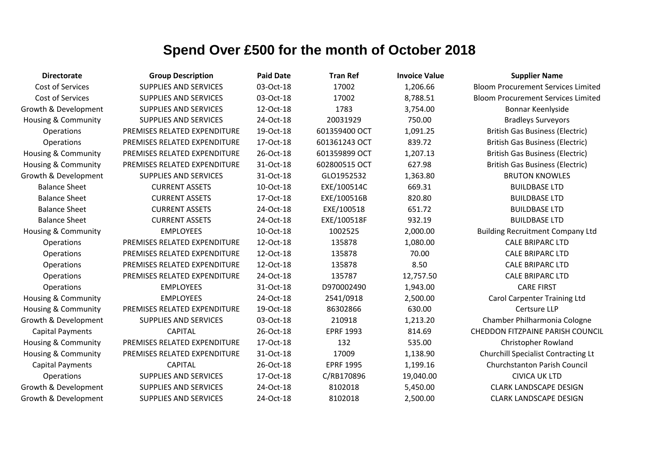| <b>Directorate</b>             | <b>Group Description</b>     | <b>Paid Date</b> | <b>Tran Ref</b>  | <b>Invoice Value</b> | <b>Supplier Name</b>                      |
|--------------------------------|------------------------------|------------------|------------------|----------------------|-------------------------------------------|
| Cost of Services               | <b>SUPPLIES AND SERVICES</b> | 03-Oct-18        | 17002            | 1,206.66             | <b>Bloom Procurement Services Limited</b> |
| Cost of Services               | <b>SUPPLIES AND SERVICES</b> | 03-Oct-18        | 17002            | 8,788.51             | <b>Bloom Procurement Services Limited</b> |
| Growth & Development           | <b>SUPPLIES AND SERVICES</b> | 12-Oct-18        | 1783             | 3,754.00             | Bonnar Keenlyside                         |
| Housing & Community            | <b>SUPPLIES AND SERVICES</b> | 24-Oct-18        | 20031929         | 750.00               | <b>Bradleys Surveyors</b>                 |
| <b>Operations</b>              | PREMISES RELATED EXPENDITURE | 19-Oct-18        | 601359400 OCT    | 1,091.25             | <b>British Gas Business (Electric)</b>    |
| Operations                     | PREMISES RELATED EXPENDITURE | 17-Oct-18        | 601361243 OCT    | 839.72               | <b>British Gas Business (Electric)</b>    |
| Housing & Community            | PREMISES RELATED EXPENDITURE | 26-Oct-18        | 601359899 OCT    | 1,207.13             | <b>British Gas Business (Electric)</b>    |
| Housing & Community            | PREMISES RELATED EXPENDITURE | 31-Oct-18        | 602800515 OCT    | 627.98               | <b>British Gas Business (Electric)</b>    |
| Growth & Development           | <b>SUPPLIES AND SERVICES</b> | 31-Oct-18        | GLO1952532       | 1,363.80             | <b>BRUTON KNOWLES</b>                     |
| <b>Balance Sheet</b>           | <b>CURRENT ASSETS</b>        | 10-Oct-18        | EXE/100514C      | 669.31               | <b>BUILDBASE LTD</b>                      |
| <b>Balance Sheet</b>           | <b>CURRENT ASSETS</b>        | 17-Oct-18        | EXE/100516B      | 820.80               | <b>BUILDBASE LTD</b>                      |
| <b>Balance Sheet</b>           | <b>CURRENT ASSETS</b>        | 24-Oct-18        | EXE/100518       | 651.72               | <b>BUILDBASE LTD</b>                      |
| <b>Balance Sheet</b>           | <b>CURRENT ASSETS</b>        | 24-Oct-18        | EXE/100518F      | 932.19               | <b>BUILDBASE LTD</b>                      |
| Housing & Community            | <b>EMPLOYEES</b>             | 10-Oct-18        | 1002525          | 2,000.00             | <b>Building Recruitment Company Ltd</b>   |
| Operations                     | PREMISES RELATED EXPENDITURE | 12-Oct-18        | 135878           | 1,080.00             | <b>CALE BRIPARC LTD</b>                   |
| Operations                     | PREMISES RELATED EXPENDITURE | 12-Oct-18        | 135878           | 70.00                | <b>CALE BRIPARC LTD</b>                   |
| Operations                     | PREMISES RELATED EXPENDITURE | 12-Oct-18        | 135878           | 8.50                 | <b>CALE BRIPARC LTD</b>                   |
| Operations                     | PREMISES RELATED EXPENDITURE | 24-Oct-18        | 135787           | 12,757.50            | <b>CALE BRIPARC LTD</b>                   |
| Operations                     | <b>EMPLOYEES</b>             | 31-Oct-18        | D970002490       | 1,943.00             | <b>CARE FIRST</b>                         |
| Housing & Community            | <b>EMPLOYEES</b>             | 24-Oct-18        | 2541/0918        | 2,500.00             | <b>Carol Carpenter Training Ltd</b>       |
| <b>Housing &amp; Community</b> | PREMISES RELATED EXPENDITURE | 19-Oct-18        | 86302866         | 630.00               | Certsure LLP                              |
| Growth & Development           | <b>SUPPLIES AND SERVICES</b> | 03-Oct-18        | 210918           | 1,213.20             | Chamber Philharmonia Cologne              |
| <b>Capital Payments</b>        | <b>CAPITAL</b>               | 26-Oct-18        | <b>EPRF 1993</b> | 814.69               | <b>CHEDDON FITZPAINE PARISH COUNCIL</b>   |
| Housing & Community            | PREMISES RELATED EXPENDITURE | 17-Oct-18        | 132              | 535.00               | <b>Christopher Rowland</b>                |
| <b>Housing &amp; Community</b> | PREMISES RELATED EXPENDITURE | 31-Oct-18        | 17009            | 1,138.90             | Churchill Specialist Contracting Lt       |
| <b>Capital Payments</b>        | <b>CAPITAL</b>               | 26-Oct-18        | <b>EPRF 1995</b> | 1,199.16             | <b>Churchstanton Parish Council</b>       |
| <b>Operations</b>              | <b>SUPPLIES AND SERVICES</b> | 17-Oct-18        | C/RB170896       | 19,040.00            | <b>CIVICA UK LTD</b>                      |
| Growth & Development           | <b>SUPPLIES AND SERVICES</b> | 24-Oct-18        | 8102018          | 5,450.00             | <b>CLARK LANDSCAPE DESIGN</b>             |
| Growth & Development           | <b>SUPPLIES AND SERVICES</b> | 24-Oct-18        | 8102018          | 2,500.00             | <b>CLARK LANDSCAPE DESIGN</b>             |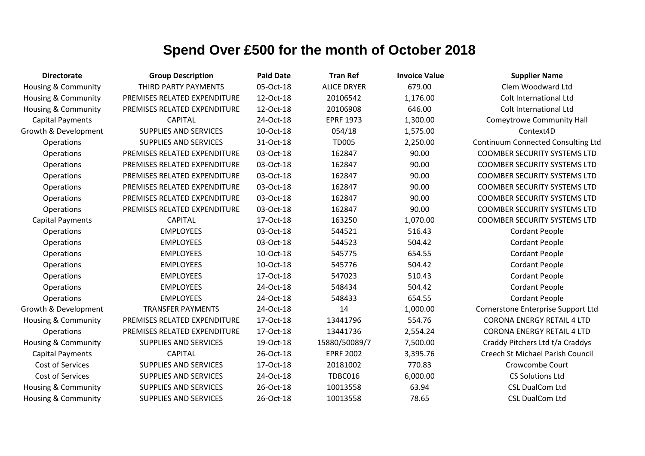| <b>Directorate</b>             | <b>Group Description</b>     | <b>Paid Date</b> | <b>Tran Ref</b>    | <b>Invoice Value</b> | <b>Supplier Name</b>                      |
|--------------------------------|------------------------------|------------------|--------------------|----------------------|-------------------------------------------|
| Housing & Community            | THIRD PARTY PAYMENTS         | 05-Oct-18        | <b>ALICE DRYER</b> | 679.00               | Clem Woodward Ltd                         |
| <b>Housing &amp; Community</b> | PREMISES RELATED EXPENDITURE | 12-Oct-18        | 20106542           | 1,176.00             | Colt International Ltd                    |
| <b>Housing &amp; Community</b> | PREMISES RELATED EXPENDITURE | 12-Oct-18        | 20106908           | 646.00               | Colt International Ltd                    |
| <b>Capital Payments</b>        | <b>CAPITAL</b>               | 24-Oct-18        | <b>EPRF 1973</b>   | 1,300.00             | <b>Comeytrowe Community Hall</b>          |
| Growth & Development           | <b>SUPPLIES AND SERVICES</b> | 10-Oct-18        | 054/18             | 1,575.00             | Context4D                                 |
| Operations                     | SUPPLIES AND SERVICES        | 31-Oct-18        | <b>TD005</b>       | 2,250.00             | <b>Continuum Connected Consulting Ltd</b> |
| Operations                     | PREMISES RELATED EXPENDITURE | 03-Oct-18        | 162847             | 90.00                | <b>COOMBER SECURITY SYSTEMS LTD</b>       |
| Operations                     | PREMISES RELATED EXPENDITURE | 03-Oct-18        | 162847             | 90.00                | <b>COOMBER SECURITY SYSTEMS LTD</b>       |
| Operations                     | PREMISES RELATED EXPENDITURE | 03-Oct-18        | 162847             | 90.00                | <b>COOMBER SECURITY SYSTEMS LTD</b>       |
| Operations                     | PREMISES RELATED EXPENDITURE | 03-Oct-18        | 162847             | 90.00                | <b>COOMBER SECURITY SYSTEMS LTD</b>       |
| Operations                     | PREMISES RELATED EXPENDITURE | 03-Oct-18        | 162847             | 90.00                | <b>COOMBER SECURITY SYSTEMS LTD</b>       |
| Operations                     | PREMISES RELATED EXPENDITURE | 03-Oct-18        | 162847             | 90.00                | <b>COOMBER SECURITY SYSTEMS LTD</b>       |
| <b>Capital Payments</b>        | <b>CAPITAL</b>               | 17-Oct-18        | 163250             | 1,070.00             | <b>COOMBER SECURITY SYSTEMS LTD</b>       |
| Operations                     | <b>EMPLOYEES</b>             | 03-Oct-18        | 544521             | 516.43               | <b>Cordant People</b>                     |
| Operations                     | <b>EMPLOYEES</b>             | 03-Oct-18        | 544523             | 504.42               | <b>Cordant People</b>                     |
| Operations                     | <b>EMPLOYEES</b>             | 10-Oct-18        | 545775             | 654.55               | <b>Cordant People</b>                     |
| Operations                     | <b>EMPLOYEES</b>             | 10-Oct-18        | 545776             | 504.42               | <b>Cordant People</b>                     |
| Operations                     | <b>EMPLOYEES</b>             | 17-Oct-18        | 547023             | 510.43               | <b>Cordant People</b>                     |
| Operations                     | <b>EMPLOYEES</b>             | 24-Oct-18        | 548434             | 504.42               | <b>Cordant People</b>                     |
| Operations                     | <b>EMPLOYEES</b>             | 24-Oct-18        | 548433             | 654.55               | <b>Cordant People</b>                     |
| Growth & Development           | <b>TRANSFER PAYMENTS</b>     | 24-Oct-18        | 14                 | 1,000.00             | Cornerstone Enterprise Support Ltd        |
| <b>Housing &amp; Community</b> | PREMISES RELATED EXPENDITURE | 17-Oct-18        | 13441796           | 554.76               | <b>CORONA ENERGY RETAIL 4 LTD</b>         |
| Operations                     | PREMISES RELATED EXPENDITURE | 17-Oct-18        | 13441736           | 2,554.24             | <b>CORONA ENERGY RETAIL 4 LTD</b>         |
| <b>Housing &amp; Community</b> | <b>SUPPLIES AND SERVICES</b> | 19-Oct-18        | 15880/50089/7      | 7,500.00             | Craddy Pitchers Ltd t/a Craddys           |
| <b>Capital Payments</b>        | <b>CAPITAL</b>               | 26-Oct-18        | <b>EPRF 2002</b>   | 3,395.76             | Creech St Michael Parish Council          |
| <b>Cost of Services</b>        | SUPPLIES AND SERVICES        | 17-Oct-18        | 20181002           | 770.83               | Crowcombe Court                           |
| Cost of Services               | SUPPLIES AND SERVICES        | 24-Oct-18        | TDBC016            | 6,000.00             | <b>CS Solutions Ltd</b>                   |
| <b>Housing &amp; Community</b> | <b>SUPPLIES AND SERVICES</b> | 26-Oct-18        | 10013558           | 63.94                | <b>CSL DualCom Ltd</b>                    |
| Housing & Community            | <b>SUPPLIES AND SERVICES</b> | 26-Oct-18        | 10013558           | 78.65                | <b>CSL DualCom Ltd</b>                    |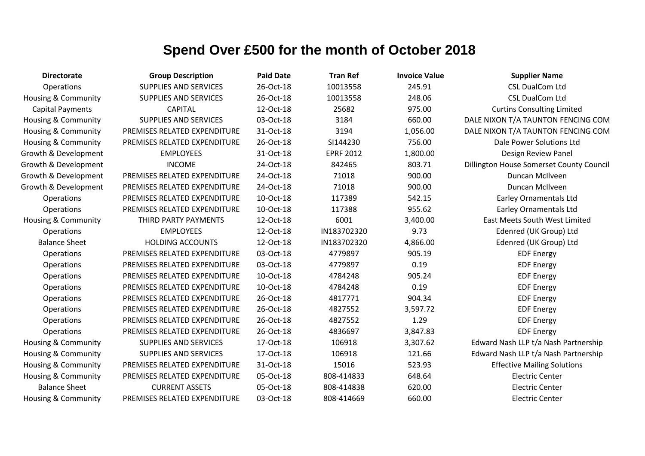| <b>Directorate</b>             | <b>Group Description</b>     | <b>Paid Date</b> | <b>Tran Ref</b>  | <b>Invoice Value</b> | <b>Supplier Name</b>                     |
|--------------------------------|------------------------------|------------------|------------------|----------------------|------------------------------------------|
| Operations                     | <b>SUPPLIES AND SERVICES</b> | 26-Oct-18        | 10013558         | 245.91               | <b>CSL DualCom Ltd</b>                   |
| Housing & Community            | <b>SUPPLIES AND SERVICES</b> | 26-Oct-18        | 10013558         | 248.06               | <b>CSL DualCom Ltd</b>                   |
| <b>Capital Payments</b>        | <b>CAPITAL</b>               | 12-Oct-18        | 25682            | 975.00               | <b>Curtins Consulting Limited</b>        |
| Housing & Community            | <b>SUPPLIES AND SERVICES</b> | 03-Oct-18        | 3184             | 660.00               | DALE NIXON T/A TAUNTON FENCING COM       |
| Housing & Community            | PREMISES RELATED EXPENDITURE | 31-Oct-18        | 3194             | 1,056.00             | DALE NIXON T/A TAUNTON FENCING COM       |
| <b>Housing &amp; Community</b> | PREMISES RELATED EXPENDITURE | 26-Oct-18        | SI144230         | 756.00               | Dale Power Solutions Ltd                 |
| Growth & Development           | <b>EMPLOYEES</b>             | 31-Oct-18        | <b>EPRF 2012</b> | 1,800.00             | Design Review Panel                      |
| Growth & Development           | <b>INCOME</b>                | 24-Oct-18        | 842465           | 803.71               | Dillington House Somerset County Council |
| Growth & Development           | PREMISES RELATED EXPENDITURE | 24-Oct-18        | 71018            | 900.00               | Duncan McIlveen                          |
| Growth & Development           | PREMISES RELATED EXPENDITURE | 24-Oct-18        | 71018            | 900.00               | Duncan McIlveen                          |
| <b>Operations</b>              | PREMISES RELATED EXPENDITURE | 10-Oct-18        | 117389           | 542.15               | <b>Earley Ornamentals Ltd</b>            |
| Operations                     | PREMISES RELATED EXPENDITURE | 10-Oct-18        | 117388           | 955.62               | <b>Earley Ornamentals Ltd</b>            |
| <b>Housing &amp; Community</b> | THIRD PARTY PAYMENTS         | 12-Oct-18        | 6001             | 3,400.00             | <b>East Meets South West Limited</b>     |
| Operations                     | <b>EMPLOYEES</b>             | 12-Oct-18        | IN183702320      | 9.73                 | Edenred (UK Group) Ltd                   |
| <b>Balance Sheet</b>           | <b>HOLDING ACCOUNTS</b>      | 12-Oct-18        | IN183702320      | 4,866.00             | Edenred (UK Group) Ltd                   |
| Operations                     | PREMISES RELATED EXPENDITURE | 03-Oct-18        | 4779897          | 905.19               | <b>EDF Energy</b>                        |
| Operations                     | PREMISES RELATED EXPENDITURE | 03-Oct-18        | 4779897          | 0.19                 | <b>EDF Energy</b>                        |
| Operations                     | PREMISES RELATED EXPENDITURE | 10-Oct-18        | 4784248          | 905.24               | <b>EDF Energy</b>                        |
| Operations                     | PREMISES RELATED EXPENDITURE | 10-Oct-18        | 4784248          | 0.19                 | <b>EDF Energy</b>                        |
| Operations                     | PREMISES RELATED EXPENDITURE | 26-Oct-18        | 4817771          | 904.34               | <b>EDF Energy</b>                        |
| Operations                     | PREMISES RELATED EXPENDITURE | 26-Oct-18        | 4827552          | 3,597.72             | <b>EDF Energy</b>                        |
| Operations                     | PREMISES RELATED EXPENDITURE | 26-Oct-18        | 4827552          | 1.29                 | <b>EDF Energy</b>                        |
| <b>Operations</b>              | PREMISES RELATED EXPENDITURE | 26-Oct-18        | 4836697          | 3,847.83             | <b>EDF Energy</b>                        |
| Housing & Community            | <b>SUPPLIES AND SERVICES</b> | 17-Oct-18        | 106918           | 3,307.62             | Edward Nash LLP t/a Nash Partnership     |
| Housing & Community            | <b>SUPPLIES AND SERVICES</b> | 17-Oct-18        | 106918           | 121.66               | Edward Nash LLP t/a Nash Partnership     |
| Housing & Community            | PREMISES RELATED EXPENDITURE | 31-Oct-18        | 15016            | 523.93               | <b>Effective Mailing Solutions</b>       |
| Housing & Community            | PREMISES RELATED EXPENDITURE | 05-Oct-18        | 808-414833       | 648.64               | <b>Electric Center</b>                   |
| <b>Balance Sheet</b>           | <b>CURRENT ASSETS</b>        | 05-Oct-18        | 808-414838       | 620.00               | <b>Electric Center</b>                   |
| Housing & Community            | PREMISES RELATED EXPENDITURE | 03-Oct-18        | 808-414669       | 660.00               | <b>Electric Center</b>                   |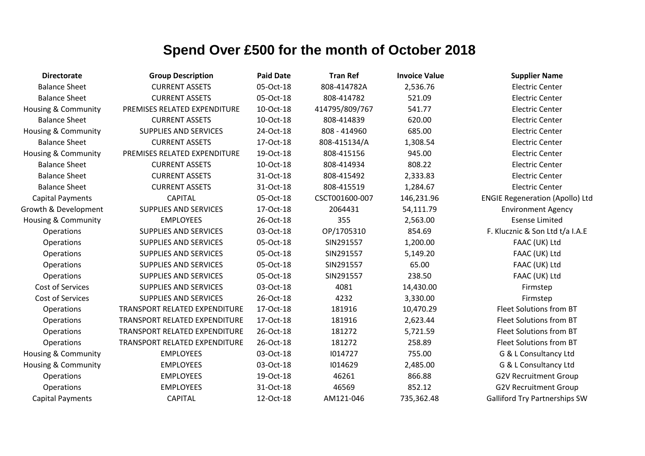| <b>Directorate</b>             | <b>Group Description</b>             | <b>Paid Date</b> | <b>Tran Ref</b> | <b>Invoice Value</b> | <b>Supplier Name</b>                   |
|--------------------------------|--------------------------------------|------------------|-----------------|----------------------|----------------------------------------|
| <b>Balance Sheet</b>           | <b>CURRENT ASSETS</b>                | 05-Oct-18        | 808-414782A     | 2,536.76             | <b>Electric Center</b>                 |
| <b>Balance Sheet</b>           | <b>CURRENT ASSETS</b>                | 05-Oct-18        | 808-414782      | 521.09               | <b>Electric Center</b>                 |
| Housing & Community            | PREMISES RELATED EXPENDITURE         | 10-Oct-18        | 414795/809/767  | 541.77               | <b>Electric Center</b>                 |
| <b>Balance Sheet</b>           | <b>CURRENT ASSETS</b>                | 10-Oct-18        | 808-414839      | 620.00               | <b>Electric Center</b>                 |
| <b>Housing &amp; Community</b> | <b>SUPPLIES AND SERVICES</b>         | 24-Oct-18        | 808 - 414960    | 685.00               | <b>Electric Center</b>                 |
| <b>Balance Sheet</b>           | <b>CURRENT ASSETS</b>                | 17-Oct-18        | 808-415134/A    | 1,308.54             | <b>Electric Center</b>                 |
| Housing & Community            | PREMISES RELATED EXPENDITURE         | 19-Oct-18        | 808-415156      | 945.00               | <b>Electric Center</b>                 |
| <b>Balance Sheet</b>           | <b>CURRENT ASSETS</b>                | 10-Oct-18        | 808-414934      | 808.22               | <b>Electric Center</b>                 |
| <b>Balance Sheet</b>           | <b>CURRENT ASSETS</b>                | 31-Oct-18        | 808-415492      | 2,333.83             | <b>Electric Center</b>                 |
| <b>Balance Sheet</b>           | <b>CURRENT ASSETS</b>                | 31-Oct-18        | 808-415519      | 1,284.67             | <b>Electric Center</b>                 |
| <b>Capital Payments</b>        | <b>CAPITAL</b>                       | 05-Oct-18        | CSCT001600-007  | 146,231.96           | <b>ENGIE Regeneration (Apollo) Ltd</b> |
| Growth & Development           | <b>SUPPLIES AND SERVICES</b>         | 17-Oct-18        | 2064431         | 54,111.79            | <b>Environment Agency</b>              |
| <b>Housing &amp; Community</b> | <b>EMPLOYEES</b>                     | 26-Oct-18        | 355             | 2,563.00             | <b>Esense Limited</b>                  |
| Operations                     | <b>SUPPLIES AND SERVICES</b>         | 03-Oct-18        | OP/1705310      | 854.69               | F. Klucznic & Son Ltd t/a I.A.E        |
| Operations                     | <b>SUPPLIES AND SERVICES</b>         | 05-Oct-18        | SIN291557       | 1,200.00             | FAAC (UK) Ltd                          |
| Operations                     | <b>SUPPLIES AND SERVICES</b>         | 05-Oct-18        | SIN291557       | 5,149.20             | FAAC (UK) Ltd                          |
| Operations                     | <b>SUPPLIES AND SERVICES</b>         | 05-Oct-18        | SIN291557       | 65.00                | FAAC (UK) Ltd                          |
| Operations                     | <b>SUPPLIES AND SERVICES</b>         | 05-Oct-18        | SIN291557       | 238.50               | FAAC (UK) Ltd                          |
| Cost of Services               | <b>SUPPLIES AND SERVICES</b>         | 03-Oct-18        | 4081            | 14,430.00            | Firmstep                               |
| Cost of Services               | <b>SUPPLIES AND SERVICES</b>         | 26-Oct-18        | 4232            | 3,330.00             | Firmstep                               |
| Operations                     | TRANSPORT RELATED EXPENDITURE        | 17-Oct-18        | 181916          | 10,470.29            | Fleet Solutions from BT                |
| Operations                     | TRANSPORT RELATED EXPENDITURE        | 17-Oct-18        | 181916          | 2,623.44             | Fleet Solutions from BT                |
| Operations                     | <b>TRANSPORT RELATED EXPENDITURE</b> | 26-Oct-18        | 181272          | 5,721.59             | Fleet Solutions from BT                |
| Operations                     | TRANSPORT RELATED EXPENDITURE        | 26-Oct-18        | 181272          | 258.89               | Fleet Solutions from BT                |
| <b>Housing &amp; Community</b> | <b>EMPLOYEES</b>                     | 03-Oct-18        | 1014727         | 755.00               | G & L Consultancy Ltd                  |
| <b>Housing &amp; Community</b> | <b>EMPLOYEES</b>                     | 03-Oct-18        | 1014629         | 2,485.00             | G & L Consultancy Ltd                  |
| Operations                     | <b>EMPLOYEES</b>                     | 19-Oct-18        | 46261           | 866.88               | <b>G2V Recruitment Group</b>           |
| Operations                     | <b>EMPLOYEES</b>                     | 31-Oct-18        | 46569           | 852.12               | <b>G2V Recruitment Group</b>           |
| <b>Capital Payments</b>        | <b>CAPITAL</b>                       | 12-Oct-18        | AM121-046       | 735,362.48           | <b>Galliford Try Partnerships SW</b>   |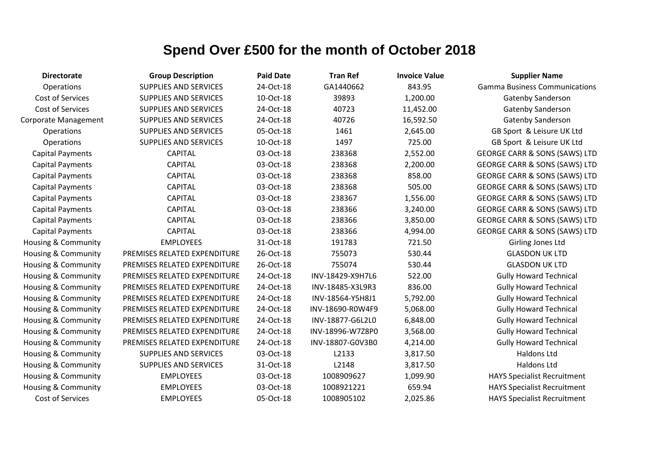| <b>Directorate</b>             | <b>Group Description</b>     | <b>Paid Date</b> | <b>Tran Ref</b>  | <b>Invoice Value</b> | <b>Supplier Name</b>                     |
|--------------------------------|------------------------------|------------------|------------------|----------------------|------------------------------------------|
| Operations                     | <b>SUPPLIES AND SERVICES</b> | 24-Oct-18        | GA1440662        | 843.95               | <b>Gamma Business Communications</b>     |
| Cost of Services               | SUPPLIES AND SERVICES        | 10-Oct-18        | 39893            | 1,200.00             | <b>Gatenby Sanderson</b>                 |
| Cost of Services               | SUPPLIES AND SERVICES        | 24-Oct-18        | 40723            | 11,452.00            | Gatenby Sanderson                        |
| <b>Corporate Management</b>    | SUPPLIES AND SERVICES        | 24-Oct-18        | 40726            | 16,592.50            | Gatenby Sanderson                        |
| Operations                     | SUPPLIES AND SERVICES        | 05-Oct-18        | 1461             | 2,645.00             | GB Sport & Leisure UK Ltd                |
| Operations                     | SUPPLIES AND SERVICES        | 10-Oct-18        | 1497             | 725.00               | GB Sport & Leisure UK Ltd                |
| <b>Capital Payments</b>        | <b>CAPITAL</b>               | 03-Oct-18        | 238368           | 2,552.00             | <b>GEORGE CARR &amp; SONS (SAWS) LTD</b> |
| <b>Capital Payments</b>        | <b>CAPITAL</b>               | 03-Oct-18        | 238368           | 2,200.00             | <b>GEORGE CARR &amp; SONS (SAWS) LTD</b> |
| <b>Capital Payments</b>        | <b>CAPITAL</b>               | 03-Oct-18        | 238368           | 858.00               | <b>GEORGE CARR &amp; SONS (SAWS) LTD</b> |
| <b>Capital Payments</b>        | <b>CAPITAL</b>               | 03-Oct-18        | 238368           | 505.00               | <b>GEORGE CARR &amp; SONS (SAWS) LTD</b> |
| <b>Capital Payments</b>        | <b>CAPITAL</b>               | 03-Oct-18        | 238367           | 1,556.00             | <b>GEORGE CARR &amp; SONS (SAWS) LTD</b> |
| <b>Capital Payments</b>        | <b>CAPITAL</b>               | 03-Oct-18        | 238366           | 3,240.00             | <b>GEORGE CARR &amp; SONS (SAWS) LTD</b> |
| <b>Capital Payments</b>        | <b>CAPITAL</b>               | 03-Oct-18        | 238366           | 3,850.00             | <b>GEORGE CARR &amp; SONS (SAWS) LTD</b> |
| <b>Capital Payments</b>        | <b>CAPITAL</b>               | 03-Oct-18        | 238366           | 4,994.00             | <b>GEORGE CARR &amp; SONS (SAWS) LTD</b> |
| <b>Housing &amp; Community</b> | <b>EMPLOYEES</b>             | 31-Oct-18        | 191783           | 721.50               | Girling Jones Ltd                        |
| Housing & Community            | PREMISES RELATED EXPENDITURE | 26-Oct-18        | 755073           | 530.44               | <b>GLASDON UK LTD</b>                    |
| <b>Housing &amp; Community</b> | PREMISES RELATED EXPENDITURE | 26-Oct-18        | 755074           | 530.44               | <b>GLASDON UK LTD</b>                    |
| <b>Housing &amp; Community</b> | PREMISES RELATED EXPENDITURE | 24-Oct-18        | INV-18429-X9H7L6 | 522.00               | <b>Gully Howard Technical</b>            |
| Housing & Community            | PREMISES RELATED EXPENDITURE | 24-Oct-18        | INV-18485-X3L9R3 | 836.00               | <b>Gully Howard Technical</b>            |
| Housing & Community            | PREMISES RELATED EXPENDITURE | 24-Oct-18        | INV-18564-Y5H8J1 | 5,792.00             | <b>Gully Howard Technical</b>            |
| <b>Housing &amp; Community</b> | PREMISES RELATED EXPENDITURE | 24-Oct-18        | INV-18690-R0W4F9 | 5,068.00             | <b>Gully Howard Technical</b>            |
| <b>Housing &amp; Community</b> | PREMISES RELATED EXPENDITURE | 24-Oct-18        | INV-18877-G6L2L0 | 6,848.00             | <b>Gully Howard Technical</b>            |
| Housing & Community            | PREMISES RELATED EXPENDITURE | 24-Oct-18        | INV-18996-W7Z8P0 | 3,568.00             | <b>Gully Howard Technical</b>            |
| Housing & Community            | PREMISES RELATED EXPENDITURE | 24-Oct-18        | INV-18807-G0V3B0 | 4,214.00             | <b>Gully Howard Technical</b>            |
| <b>Housing &amp; Community</b> | SUPPLIES AND SERVICES        | 03-Oct-18        | L2133            | 3,817.50             | Haldons Ltd                              |
| Housing & Community            | <b>SUPPLIES AND SERVICES</b> | 31-Oct-18        | L2148            | 3,817.50             | Haldons Ltd                              |
| Housing & Community            | <b>EMPLOYEES</b>             | 03-Oct-18        | 1008909627       | 1,099.90             | <b>HAYS Specialist Recruitment</b>       |
| Housing & Community            | <b>EMPLOYEES</b>             | 03-Oct-18        | 1008921221       | 659.94               | <b>HAYS Specialist Recruitment</b>       |
| Cost of Services               | <b>EMPLOYEES</b>             | 05-Oct-18        | 1008905102       | 2,025.86             | <b>HAYS Specialist Recruitment</b>       |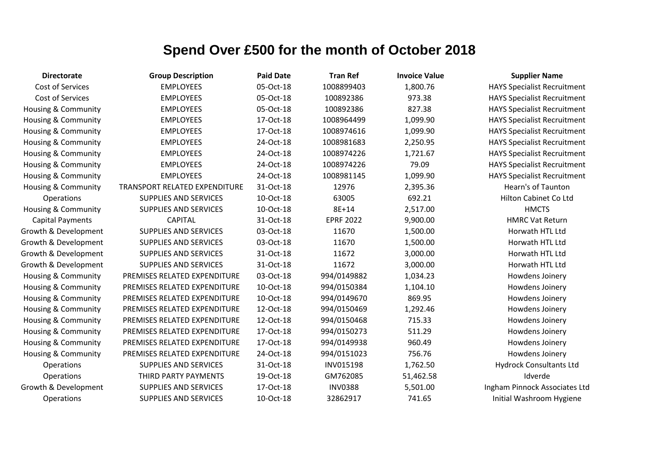| <b>Directorate</b>             | <b>Group Description</b>      | <b>Paid Date</b> | <b>Tran Ref</b>  | <b>Invoice Value</b> | <b>Supplier Name</b>               |
|--------------------------------|-------------------------------|------------------|------------------|----------------------|------------------------------------|
| Cost of Services               | <b>EMPLOYEES</b>              | 05-Oct-18        | 1008899403       | 1,800.76             | <b>HAYS Specialist Recruitment</b> |
| Cost of Services               | <b>EMPLOYEES</b>              | 05-Oct-18        | 100892386        | 973.38               | <b>HAYS Specialist Recruitment</b> |
| Housing & Community            | <b>EMPLOYEES</b>              | 05-Oct-18        | 100892386        | 827.38               | <b>HAYS Specialist Recruitment</b> |
| <b>Housing &amp; Community</b> | <b>EMPLOYEES</b>              | 17-Oct-18        | 1008964499       | 1,099.90             | <b>HAYS Specialist Recruitment</b> |
| Housing & Community            | <b>EMPLOYEES</b>              | 17-Oct-18        | 1008974616       | 1,099.90             | <b>HAYS Specialist Recruitment</b> |
| Housing & Community            | <b>EMPLOYEES</b>              | 24-Oct-18        | 1008981683       | 2,250.95             | <b>HAYS Specialist Recruitment</b> |
| Housing & Community            | <b>EMPLOYEES</b>              | 24-Oct-18        | 1008974226       | 1,721.67             | <b>HAYS Specialist Recruitment</b> |
| <b>Housing &amp; Community</b> | <b>EMPLOYEES</b>              | 24-Oct-18        | 1008974226       | 79.09                | <b>HAYS Specialist Recruitment</b> |
| <b>Housing &amp; Community</b> | <b>EMPLOYEES</b>              | 24-Oct-18        | 1008981145       | 1,099.90             | <b>HAYS Specialist Recruitment</b> |
| Housing & Community            | TRANSPORT RELATED EXPENDITURE | 31-Oct-18        | 12976            | 2,395.36             | Hearn's of Taunton                 |
| Operations                     | <b>SUPPLIES AND SERVICES</b>  | 10-Oct-18        | 63005            | 692.21               | Hilton Cabinet Co Ltd              |
| Housing & Community            | <b>SUPPLIES AND SERVICES</b>  | 10-Oct-18        | 8E+14            | 2,517.00             | <b>HMCTS</b>                       |
| <b>Capital Payments</b>        | <b>CAPITAL</b>                | 31-Oct-18        | <b>EPRF 2022</b> | 9,900.00             | <b>HMRC Vat Return</b>             |
| Growth & Development           | <b>SUPPLIES AND SERVICES</b>  | 03-Oct-18        | 11670            | 1,500.00             | Horwath HTL Ltd                    |
| Growth & Development           | <b>SUPPLIES AND SERVICES</b>  | 03-Oct-18        | 11670            | 1,500.00             | Horwath HTL Ltd                    |
| Growth & Development           | <b>SUPPLIES AND SERVICES</b>  | 31-Oct-18        | 11672            | 3,000.00             | Horwath HTL Ltd                    |
| Growth & Development           | <b>SUPPLIES AND SERVICES</b>  | 31-Oct-18        | 11672            | 3,000.00             | Horwath HTL Ltd                    |
| <b>Housing &amp; Community</b> | PREMISES RELATED EXPENDITURE  | 03-Oct-18        | 994/0149882      | 1,034.23             | Howdens Joinery                    |
| Housing & Community            | PREMISES RELATED EXPENDITURE  | 10-Oct-18        | 994/0150384      | 1,104.10             | Howdens Joinery                    |
| Housing & Community            | PREMISES RELATED EXPENDITURE  | 10-Oct-18        | 994/0149670      | 869.95               | Howdens Joinery                    |
| Housing & Community            | PREMISES RELATED EXPENDITURE  | 12-Oct-18        | 994/0150469      | 1,292.46             | Howdens Joinery                    |
| Housing & Community            | PREMISES RELATED EXPENDITURE  | 12-Oct-18        | 994/0150468      | 715.33               | Howdens Joinery                    |
| Housing & Community            | PREMISES RELATED EXPENDITURE  | 17-Oct-18        | 994/0150273      | 511.29               | Howdens Joinery                    |
| <b>Housing &amp; Community</b> | PREMISES RELATED EXPENDITURE  | 17-Oct-18        | 994/0149938      | 960.49               | Howdens Joinery                    |
| <b>Housing &amp; Community</b> | PREMISES RELATED EXPENDITURE  | 24-Oct-18        | 994/0151023      | 756.76               | Howdens Joinery                    |
| Operations                     | <b>SUPPLIES AND SERVICES</b>  | 31-Oct-18        | <b>INV015198</b> | 1,762.50             | <b>Hydrock Consultants Ltd</b>     |
| Operations                     | THIRD PARTY PAYMENTS          | 19-Oct-18        | GM762085         | 51,462.58            | Idverde                            |
| Growth & Development           | <b>SUPPLIES AND SERVICES</b>  | 17-Oct-18        | <b>INV0388</b>   | 5,501.00             | Ingham Pinnock Associates Ltd      |
| Operations                     | <b>SUPPLIES AND SERVICES</b>  | 10-Oct-18        | 32862917         | 741.65               | Initial Washroom Hygiene           |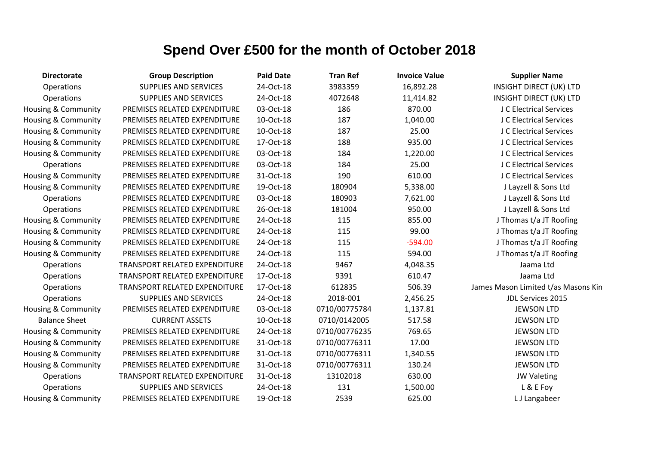| <b>Directorate</b>             | <b>Group Description</b>             | <b>Paid Date</b> | <b>Tran Ref</b> | <b>Invoice Value</b> | <b>Supplier Name</b>                |
|--------------------------------|--------------------------------------|------------------|-----------------|----------------------|-------------------------------------|
| Operations                     | <b>SUPPLIES AND SERVICES</b>         | 24-Oct-18        | 3983359         | 16,892.28            | <b>INSIGHT DIRECT (UK) LTD</b>      |
| Operations                     | <b>SUPPLIES AND SERVICES</b>         | 24-Oct-18        | 4072648         | 11,414.82            | <b>INSIGHT DIRECT (UK) LTD</b>      |
| Housing & Community            | PREMISES RELATED EXPENDITURE         | 03-Oct-18        | 186             | 870.00               | J C Electrical Services             |
| Housing & Community            | PREMISES RELATED EXPENDITURE         | 10-Oct-18        | 187             | 1,040.00             | J C Electrical Services             |
| Housing & Community            | PREMISES RELATED EXPENDITURE         | 10-Oct-18        | 187             | 25.00                | J C Electrical Services             |
| Housing & Community            | PREMISES RELATED EXPENDITURE         | 17-Oct-18        | 188             | 935.00               | J C Electrical Services             |
| Housing & Community            | PREMISES RELATED EXPENDITURE         | 03-Oct-18        | 184             | 1,220.00             | J C Electrical Services             |
| Operations                     | PREMISES RELATED EXPENDITURE         | 03-Oct-18        | 184             | 25.00                | J C Electrical Services             |
| Housing & Community            | PREMISES RELATED EXPENDITURE         | 31-Oct-18        | 190             | 610.00               | J C Electrical Services             |
| <b>Housing &amp; Community</b> | PREMISES RELATED EXPENDITURE         | 19-Oct-18        | 180904          | 5,338.00             | J Layzell & Sons Ltd                |
| Operations                     | PREMISES RELATED EXPENDITURE         | 03-Oct-18        | 180903          | 7,621.00             | J Layzell & Sons Ltd                |
| Operations                     | PREMISES RELATED EXPENDITURE         | 26-Oct-18        | 181004          | 950.00               | J Layzell & Sons Ltd                |
| Housing & Community            | PREMISES RELATED EXPENDITURE         | 24-Oct-18        | 115             | 855.00               | J Thomas t/a JT Roofing             |
| Housing & Community            | PREMISES RELATED EXPENDITURE         | 24-Oct-18        | 115             | 99.00                | J Thomas t/a JT Roofing             |
| Housing & Community            | PREMISES RELATED EXPENDITURE         | 24-Oct-18        | 115             | $-594.00$            | J Thomas t/a JT Roofing             |
| <b>Housing &amp; Community</b> | PREMISES RELATED EXPENDITURE         | 24-Oct-18        | 115             | 594.00               | J Thomas t/a JT Roofing             |
| Operations                     | TRANSPORT RELATED EXPENDITURE        | 24-Oct-18        | 9467            | 4,048.35             | Jaama Ltd                           |
| Operations                     | <b>TRANSPORT RELATED EXPENDITURE</b> | 17-Oct-18        | 9391            | 610.47               | Jaama Ltd                           |
| Operations                     | <b>TRANSPORT RELATED EXPENDITURE</b> | 17-Oct-18        | 612835          | 506.39               | James Mason Limited t/as Masons Kin |
| Operations                     | <b>SUPPLIES AND SERVICES</b>         | 24-Oct-18        | 2018-001        | 2,456.25             | JDL Services 2015                   |
| Housing & Community            | PREMISES RELATED EXPENDITURE         | 03-Oct-18        | 0710/00775784   | 1,137.81             | <b>JEWSON LTD</b>                   |
| <b>Balance Sheet</b>           | <b>CURRENT ASSETS</b>                | 10-Oct-18        | 0710/0142005    | 517.58               | <b>JEWSON LTD</b>                   |
| Housing & Community            | PREMISES RELATED EXPENDITURE         | 24-Oct-18        | 0710/00776235   | 769.65               | <b>JEWSON LTD</b>                   |
| <b>Housing &amp; Community</b> | PREMISES RELATED EXPENDITURE         | 31-Oct-18        | 0710/00776311   | 17.00                | <b>JEWSON LTD</b>                   |
| Housing & Community            | PREMISES RELATED EXPENDITURE         | 31-Oct-18        | 0710/00776311   | 1,340.55             | <b>JEWSON LTD</b>                   |
| Housing & Community            | PREMISES RELATED EXPENDITURE         | 31-Oct-18        | 0710/00776311   | 130.24               | <b>JEWSON LTD</b>                   |
| Operations                     | TRANSPORT RELATED EXPENDITURE        | 31-Oct-18        | 13102018        | 630.00               | <b>JW Valeting</b>                  |
| Operations                     | <b>SUPPLIES AND SERVICES</b>         | 24-Oct-18        | 131             | 1,500.00             | L & E Foy                           |
| Housing & Community            | PREMISES RELATED EXPENDITURE         | 19-Oct-18        | 2539            | 625.00               | L J Langabeer                       |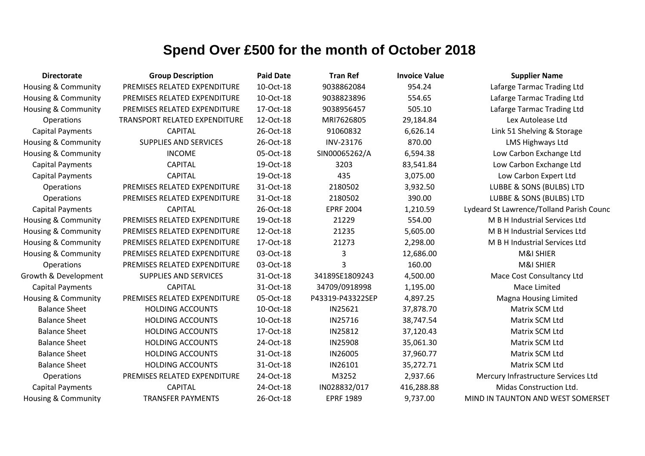| <b>Directorate</b>             | <b>Group Description</b>      | <b>Paid Date</b> | <b>Tran Ref</b>  | <b>Invoice Value</b> | <b>Supplier Name</b>                     |
|--------------------------------|-------------------------------|------------------|------------------|----------------------|------------------------------------------|
| Housing & Community            | PREMISES RELATED EXPENDITURE  | 10-Oct-18        | 9038862084       | 954.24               | Lafarge Tarmac Trading Ltd               |
| <b>Housing &amp; Community</b> | PREMISES RELATED EXPENDITURE  | 10-Oct-18        | 9038823896       | 554.65               | Lafarge Tarmac Trading Ltd               |
| Housing & Community            | PREMISES RELATED EXPENDITURE  | 17-Oct-18        | 9038956457       | 505.10               | Lafarge Tarmac Trading Ltd               |
| Operations                     | TRANSPORT RELATED EXPENDITURE | 12-Oct-18        | MRI7626805       | 29,184.84            | Lex Autolease Ltd                        |
| <b>Capital Payments</b>        | <b>CAPITAL</b>                | 26-Oct-18        | 91060832         | 6,626.14             | Link 51 Shelving & Storage               |
| Housing & Community            | <b>SUPPLIES AND SERVICES</b>  | 26-Oct-18        | INV-23176        | 870.00               | LMS Highways Ltd                         |
| <b>Housing &amp; Community</b> | <b>INCOME</b>                 | 05-Oct-18        | SIN00065262/A    | 6,594.38             | Low Carbon Exchange Ltd                  |
| <b>Capital Payments</b>        | <b>CAPITAL</b>                | 19-Oct-18        | 3203             | 83,541.84            | Low Carbon Exchange Ltd                  |
| <b>Capital Payments</b>        | <b>CAPITAL</b>                | 19-Oct-18        | 435              | 3,075.00             | Low Carbon Expert Ltd                    |
| Operations                     | PREMISES RELATED EXPENDITURE  | 31-Oct-18        | 2180502          | 3,932.50             | LUBBE & SONS (BULBS) LTD                 |
| Operations                     | PREMISES RELATED EXPENDITURE  | 31-Oct-18        | 2180502          | 390.00               | LUBBE & SONS (BULBS) LTD                 |
| <b>Capital Payments</b>        | <b>CAPITAL</b>                | 26-Oct-18        | <b>EPRF 2004</b> | 1,210.59             | Lydeard St Lawrence/Tolland Parish Counc |
| Housing & Community            | PREMISES RELATED EXPENDITURE  | 19-Oct-18        | 21229            | 554.00               | M B H Industrial Services Ltd            |
| Housing & Community            | PREMISES RELATED EXPENDITURE  | 12-Oct-18        | 21235            | 5,605.00             | M B H Industrial Services Ltd            |
| Housing & Community            | PREMISES RELATED EXPENDITURE  | 17-Oct-18        | 21273            | 2,298.00             | M B H Industrial Services Ltd            |
| Housing & Community            | PREMISES RELATED EXPENDITURE  | 03-Oct-18        | 3                | 12,686.00            | M&I SHIER                                |
| Operations                     | PREMISES RELATED EXPENDITURE  | 03-Oct-18        | 3                | 160.00               | M&I SHIER                                |
| Growth & Development           | <b>SUPPLIES AND SERVICES</b>  | 31-Oct-18        | 34189SE1809243   | 4,500.00             | Mace Cost Consultancy Ltd                |
| <b>Capital Payments</b>        | <b>CAPITAL</b>                | 31-Oct-18        | 34709/0918998    | 1,195.00             | Mace Limited                             |
| <b>Housing &amp; Community</b> | PREMISES RELATED EXPENDITURE  | 05-Oct-18        | P43319-P43322SEP | 4,897.25             | <b>Magna Housing Limited</b>             |
| <b>Balance Sheet</b>           | <b>HOLDING ACCOUNTS</b>       | 10-Oct-18        | IN25621          | 37,878.70            | Matrix SCM Ltd                           |
| <b>Balance Sheet</b>           | <b>HOLDING ACCOUNTS</b>       | 10-Oct-18        | IN25716          | 38,747.54            | Matrix SCM Ltd                           |
| <b>Balance Sheet</b>           | <b>HOLDING ACCOUNTS</b>       | 17-Oct-18        | IN25812          | 37,120.43            | Matrix SCM Ltd                           |
| <b>Balance Sheet</b>           | <b>HOLDING ACCOUNTS</b>       | 24-Oct-18        | <b>IN25908</b>   | 35,061.30            | Matrix SCM Ltd                           |
| <b>Balance Sheet</b>           | <b>HOLDING ACCOUNTS</b>       | 31-Oct-18        | IN26005          | 37,960.77            | Matrix SCM Ltd                           |
| <b>Balance Sheet</b>           | <b>HOLDING ACCOUNTS</b>       | 31-Oct-18        | IN26101          | 35,272.71            | Matrix SCM Ltd                           |
| Operations                     | PREMISES RELATED EXPENDITURE  | 24-Oct-18        | M3252            | 2,937.66             | Mercury Infrastructure Services Ltd      |
| <b>Capital Payments</b>        | <b>CAPITAL</b>                | 24-Oct-18        | IN028832/017     | 416,288.88           | Midas Construction Ltd.                  |
| Housing & Community            | <b>TRANSFER PAYMENTS</b>      | 26-Oct-18        | <b>EPRF 1989</b> | 9,737.00             | MIND IN TAUNTON AND WEST SOMERSET        |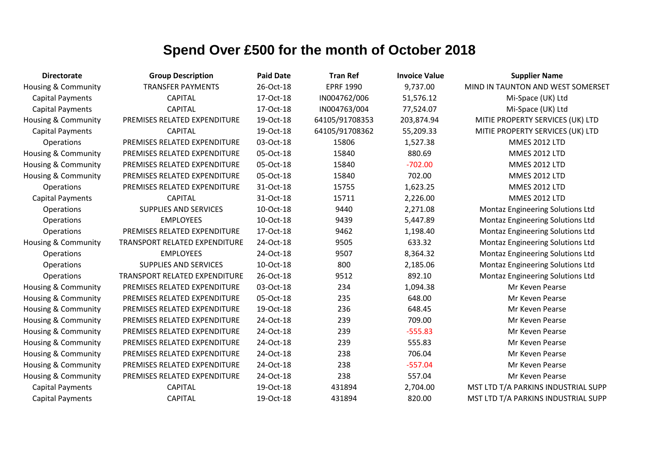| <b>Directorate</b>             | <b>Group Description</b>      | <b>Paid Date</b> | <b>Tran Ref</b>  | <b>Invoice Value</b> | <b>Supplier Name</b>                |
|--------------------------------|-------------------------------|------------------|------------------|----------------------|-------------------------------------|
| <b>Housing &amp; Community</b> | <b>TRANSFER PAYMENTS</b>      | 26-Oct-18        | <b>EPRF 1990</b> | 9,737.00             | MIND IN TAUNTON AND WEST SOMERSET   |
| <b>Capital Payments</b>        | <b>CAPITAL</b>                | 17-Oct-18        | IN004762/006     | 51,576.12            | Mi-Space (UK) Ltd                   |
| <b>Capital Payments</b>        | <b>CAPITAL</b>                | 17-Oct-18        | IN004763/004     | 77,524.07            | Mi-Space (UK) Ltd                   |
| <b>Housing &amp; Community</b> | PREMISES RELATED EXPENDITURE  | 19-Oct-18        | 64105/91708353   | 203,874.94           | MITIE PROPERTY SERVICES (UK) LTD    |
| <b>Capital Payments</b>        | <b>CAPITAL</b>                | 19-Oct-18        | 64105/91708362   | 55,209.33            | MITIE PROPERTY SERVICES (UK) LTD    |
| Operations                     | PREMISES RELATED EXPENDITURE  | 03-Oct-18        | 15806            | 1,527.38             | <b>MMES 2012 LTD</b>                |
| Housing & Community            | PREMISES RELATED EXPENDITURE  | 05-Oct-18        | 15840            | 880.69               | <b>MMES 2012 LTD</b>                |
| <b>Housing &amp; Community</b> | PREMISES RELATED EXPENDITURE  | 05-Oct-18        | 15840            | $-702.00$            | <b>MMES 2012 LTD</b>                |
| <b>Housing &amp; Community</b> | PREMISES RELATED EXPENDITURE  | 05-Oct-18        | 15840            | 702.00               | <b>MMES 2012 LTD</b>                |
| Operations                     | PREMISES RELATED EXPENDITURE  | 31-Oct-18        | 15755            | 1,623.25             | <b>MMES 2012 LTD</b>                |
| <b>Capital Payments</b>        | <b>CAPITAL</b>                | 31-Oct-18        | 15711            | 2,226.00             | <b>MMES 2012 LTD</b>                |
| Operations                     | <b>SUPPLIES AND SERVICES</b>  | 10-Oct-18        | 9440             | 2,271.08             | Montaz Engineering Solutions Ltd    |
| Operations                     | <b>EMPLOYEES</b>              | 10-Oct-18        | 9439             | 5,447.89             | Montaz Engineering Solutions Ltd    |
| Operations                     | PREMISES RELATED EXPENDITURE  | 17-Oct-18        | 9462             | 1,198.40             | Montaz Engineering Solutions Ltd    |
| <b>Housing &amp; Community</b> | TRANSPORT RELATED EXPENDITURE | 24-Oct-18        | 9505             | 633.32               | Montaz Engineering Solutions Ltd    |
| Operations                     | <b>EMPLOYEES</b>              | 24-Oct-18        | 9507             | 8,364.32             | Montaz Engineering Solutions Ltd    |
| Operations                     | <b>SUPPLIES AND SERVICES</b>  | 10-Oct-18        | 800              | 2,185.06             | Montaz Engineering Solutions Ltd    |
| Operations                     | TRANSPORT RELATED EXPENDITURE | 26-Oct-18        | 9512             | 892.10               | Montaz Engineering Solutions Ltd    |
| Housing & Community            | PREMISES RELATED EXPENDITURE  | 03-Oct-18        | 234              | 1,094.38             | Mr Keven Pearse                     |
| Housing & Community            | PREMISES RELATED EXPENDITURE  | 05-Oct-18        | 235              | 648.00               | Mr Keven Pearse                     |
| Housing & Community            | PREMISES RELATED EXPENDITURE  | 19-Oct-18        | 236              | 648.45               | Mr Keven Pearse                     |
| <b>Housing &amp; Community</b> | PREMISES RELATED EXPENDITURE  | 24-Oct-18        | 239              | 709.00               | Mr Keven Pearse                     |
| Housing & Community            | PREMISES RELATED EXPENDITURE  | 24-Oct-18        | 239              | $-555.83$            | Mr Keven Pearse                     |
| Housing & Community            | PREMISES RELATED EXPENDITURE  | 24-Oct-18        | 239              | 555.83               | Mr Keven Pearse                     |
| Housing & Community            | PREMISES RELATED EXPENDITURE  | 24-Oct-18        | 238              | 706.04               | Mr Keven Pearse                     |
| <b>Housing &amp; Community</b> | PREMISES RELATED EXPENDITURE  | 24-Oct-18        | 238              | $-557.04$            | Mr Keven Pearse                     |
| Housing & Community            | PREMISES RELATED EXPENDITURE  | 24-Oct-18        | 238              | 557.04               | Mr Keven Pearse                     |
| <b>Capital Payments</b>        | <b>CAPITAL</b>                | 19-Oct-18        | 431894           | 2,704.00             | MST LTD T/A PARKINS INDUSTRIAL SUPP |
| <b>Capital Payments</b>        | <b>CAPITAL</b>                | 19-Oct-18        | 431894           | 820.00               | MST LTD T/A PARKINS INDUSTRIAL SUPP |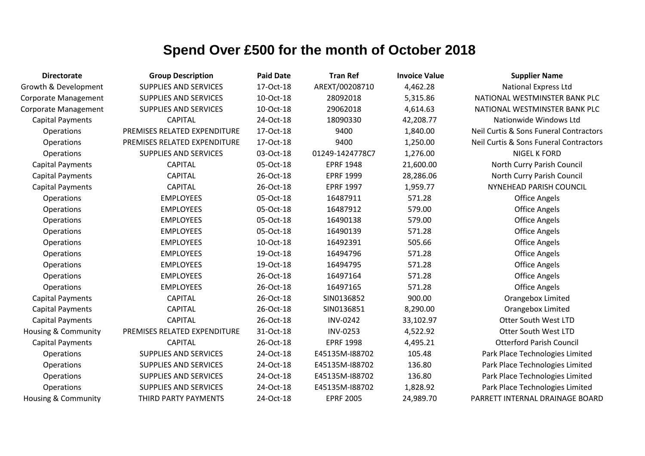| <b>Directorate</b>             | <b>Group Description</b>     | <b>Paid Date</b> | <b>Tran Ref</b>  | <b>Invoice Value</b> | <b>Supplier Name</b>                   |
|--------------------------------|------------------------------|------------------|------------------|----------------------|----------------------------------------|
| Growth & Development           | <b>SUPPLIES AND SERVICES</b> | 17-Oct-18        | AREXT/00208710   | 4,462.28             | <b>National Express Ltd</b>            |
| <b>Corporate Management</b>    | <b>SUPPLIES AND SERVICES</b> | 10-Oct-18        | 28092018         | 5,315.86             | NATIONAL WESTMINSTER BANK PLC          |
| <b>Corporate Management</b>    | <b>SUPPLIES AND SERVICES</b> | 10-Oct-18        | 29062018         | 4,614.63             | NATIONAL WESTMINSTER BANK PLC          |
| <b>Capital Payments</b>        | <b>CAPITAL</b>               | 24-Oct-18        | 18090330         | 42,208.77            | Nationwide Windows Ltd                 |
| Operations                     | PREMISES RELATED EXPENDITURE | 17-Oct-18        | 9400             | 1,840.00             | Neil Curtis & Sons Funeral Contractors |
| Operations                     | PREMISES RELATED EXPENDITURE | 17-Oct-18        | 9400             | 1,250.00             | Neil Curtis & Sons Funeral Contractors |
| Operations                     | <b>SUPPLIES AND SERVICES</b> | 03-Oct-18        | 01249-1424778C7  | 1,276.00             | <b>NIGEL K FORD</b>                    |
| <b>Capital Payments</b>        | <b>CAPITAL</b>               | 05-Oct-18        | <b>EPRF 1948</b> | 21,600.00            | North Curry Parish Council             |
| <b>Capital Payments</b>        | <b>CAPITAL</b>               | 26-Oct-18        | <b>EPRF 1999</b> | 28,286.06            | North Curry Parish Council             |
| <b>Capital Payments</b>        | <b>CAPITAL</b>               | 26-Oct-18        | <b>EPRF 1997</b> | 1,959.77             | NYNEHEAD PARISH COUNCIL                |
| Operations                     | <b>EMPLOYEES</b>             | 05-Oct-18        | 16487911         | 571.28               | <b>Office Angels</b>                   |
| Operations                     | <b>EMPLOYEES</b>             | 05-Oct-18        | 16487912         | 579.00               | <b>Office Angels</b>                   |
| Operations                     | <b>EMPLOYEES</b>             | 05-Oct-18        | 16490138         | 579.00               | <b>Office Angels</b>                   |
| Operations                     | <b>EMPLOYEES</b>             | 05-Oct-18        | 16490139         | 571.28               | <b>Office Angels</b>                   |
| Operations                     | <b>EMPLOYEES</b>             | 10-Oct-18        | 16492391         | 505.66               | <b>Office Angels</b>                   |
| Operations                     | <b>EMPLOYEES</b>             | 19-Oct-18        | 16494796         | 571.28               | <b>Office Angels</b>                   |
| Operations                     | <b>EMPLOYEES</b>             | 19-Oct-18        | 16494795         | 571.28               | <b>Office Angels</b>                   |
| Operations                     | <b>EMPLOYEES</b>             | 26-Oct-18        | 16497164         | 571.28               | <b>Office Angels</b>                   |
| Operations                     | <b>EMPLOYEES</b>             | 26-Oct-18        | 16497165         | 571.28               | <b>Office Angels</b>                   |
| <b>Capital Payments</b>        | <b>CAPITAL</b>               | 26-Oct-18        | SIN0136852       | 900.00               | Orangebox Limited                      |
| <b>Capital Payments</b>        | <b>CAPITAL</b>               | 26-Oct-18        | SIN0136851       | 8,290.00             | Orangebox Limited                      |
| <b>Capital Payments</b>        | <b>CAPITAL</b>               | 26-Oct-18        | <b>INV-0242</b>  | 33,102.97            | <b>Otter South West LTD</b>            |
| Housing & Community            | PREMISES RELATED EXPENDITURE | 31-Oct-18        | <b>INV-0253</b>  | 4,522.92             | <b>Otter South West LTD</b>            |
| <b>Capital Payments</b>        | <b>CAPITAL</b>               | 26-Oct-18        | <b>EPRF 1998</b> | 4,495.21             | <b>Otterford Parish Council</b>        |
| Operations                     | <b>SUPPLIES AND SERVICES</b> | 24-Oct-18        | E45135M-I88702   | 105.48               | Park Place Technologies Limited        |
| Operations                     | <b>SUPPLIES AND SERVICES</b> | 24-Oct-18        | E45135M-I88702   | 136.80               | Park Place Technologies Limited        |
| Operations                     | <b>SUPPLIES AND SERVICES</b> | 24-Oct-18        | E45135M-I88702   | 136.80               | Park Place Technologies Limited        |
| Operations                     | <b>SUPPLIES AND SERVICES</b> | 24-Oct-18        | E45135M-I88702   | 1,828.92             | Park Place Technologies Limited        |
| <b>Housing &amp; Community</b> | THIRD PARTY PAYMENTS         | 24-Oct-18        | <b>EPRF 2005</b> | 24,989.70            | PARRETT INTERNAL DRAINAGE BOARD        |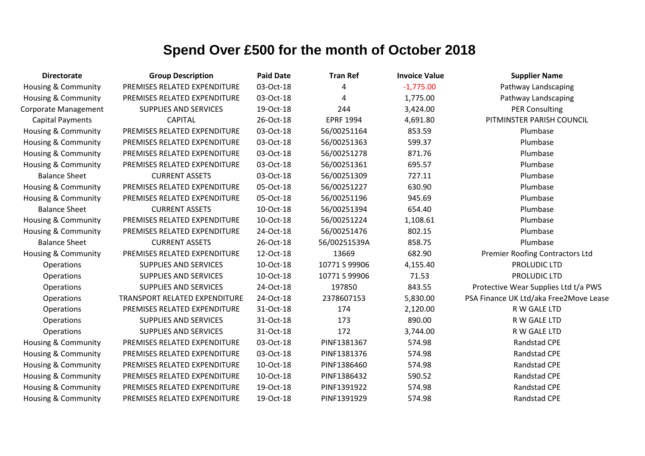| <b>Directorate</b>             | <b>Group Description</b>      | <b>Paid Date</b> | <b>Tran Ref</b>  | <b>Invoice Value</b> | <b>Supplier Name</b>                   |
|--------------------------------|-------------------------------|------------------|------------------|----------------------|----------------------------------------|
| Housing & Community            | PREMISES RELATED EXPENDITURE  | 03-Oct-18        | 4                | $-1,775.00$          | Pathway Landscaping                    |
| <b>Housing &amp; Community</b> | PREMISES RELATED EXPENDITURE  | 03-Oct-18        | 4                | 1,775.00             | Pathway Landscaping                    |
| Corporate Management           | <b>SUPPLIES AND SERVICES</b>  | 19-Oct-18        | 244              | 3,424.00             | <b>PER Consulting</b>                  |
| <b>Capital Payments</b>        | <b>CAPITAL</b>                | 26-Oct-18        | <b>EPRF 1994</b> | 4,691.80             | PITMINSTER PARISH COUNCIL              |
| <b>Housing &amp; Community</b> | PREMISES RELATED EXPENDITURE  | 03-Oct-18        | 56/00251164      | 853.59               | Plumbase                               |
| <b>Housing &amp; Community</b> | PREMISES RELATED EXPENDITURE  | 03-Oct-18        | 56/00251363      | 599.37               | Plumbase                               |
| Housing & Community            | PREMISES RELATED EXPENDITURE  | 03-Oct-18        | 56/00251278      | 871.76               | Plumbase                               |
| Housing & Community            | PREMISES RELATED EXPENDITURE  | 03-Oct-18        | 56/00251361      | 695.57               | Plumbase                               |
| <b>Balance Sheet</b>           | <b>CURRENT ASSETS</b>         | 03-Oct-18        | 56/00251309      | 727.11               | Plumbase                               |
| <b>Housing &amp; Community</b> | PREMISES RELATED EXPENDITURE  | 05-Oct-18        | 56/00251227      | 630.90               | Plumbase                               |
| Housing & Community            | PREMISES RELATED EXPENDITURE  | 05-Oct-18        | 56/00251196      | 945.69               | Plumbase                               |
| <b>Balance Sheet</b>           | <b>CURRENT ASSETS</b>         | 10-Oct-18        | 56/00251394      | 654.40               | Plumbase                               |
| Housing & Community            | PREMISES RELATED EXPENDITURE  | 10-Oct-18        | 56/00251224      | 1,108.61             | Plumbase                               |
| <b>Housing &amp; Community</b> | PREMISES RELATED EXPENDITURE  | 24-Oct-18        | 56/00251476      | 802.15               | Plumbase                               |
| <b>Balance Sheet</b>           | <b>CURRENT ASSETS</b>         | 26-Oct-18        | 56/00251539A     | 858.75               | Plumbase                               |
| Housing & Community            | PREMISES RELATED EXPENDITURE  | 12-Oct-18        | 13669            | 682.90               | <b>Premier Roofing Contractors Ltd</b> |
| Operations                     | <b>SUPPLIES AND SERVICES</b>  | 10-Oct-18        | 10771 S 99906    | 4,155.40             | PROLUDIC LTD                           |
| Operations                     | <b>SUPPLIES AND SERVICES</b>  | 10-Oct-18        | 10771 S 99906    | 71.53                | PROLUDIC LTD                           |
| Operations                     | <b>SUPPLIES AND SERVICES</b>  | 24-Oct-18        | 197850           | 843.55               | Protective Wear Supplies Ltd t/a PWS   |
| Operations                     | TRANSPORT RELATED EXPENDITURE | 24-Oct-18        | 2378607153       | 5,830.00             | PSA Finance UK Ltd/aka Free2Move Lease |
| Operations                     | PREMISES RELATED EXPENDITURE  | 31-Oct-18        | 174              | 2,120.00             | R W GALE LTD                           |
| Operations                     | <b>SUPPLIES AND SERVICES</b>  | 31-Oct-18        | 173              | 890.00               | R W GALE LTD                           |
| Operations                     | <b>SUPPLIES AND SERVICES</b>  | 31-Oct-18        | 172              | 3,744.00             | R W GALE LTD                           |
| Housing & Community            | PREMISES RELATED EXPENDITURE  | 03-Oct-18        | PINF1381367      | 574.98               | <b>Randstad CPE</b>                    |
| Housing & Community            | PREMISES RELATED EXPENDITURE  | 03-Oct-18        | PINF1381376      | 574.98               | Randstad CPE                           |
| <b>Housing &amp; Community</b> | PREMISES RELATED EXPENDITURE  | 10-Oct-18        | PINF1386460      | 574.98               | <b>Randstad CPE</b>                    |
| Housing & Community            | PREMISES RELATED EXPENDITURE  | 10-Oct-18        | PINF1386432      | 590.52               | Randstad CPE                           |
| <b>Housing &amp; Community</b> | PREMISES RELATED EXPENDITURE  | 19-Oct-18        | PINF1391922      | 574.98               | Randstad CPE                           |
| <b>Housing &amp; Community</b> | PREMISES RELATED EXPENDITURE  | 19-Oct-18        | PINF1391929      | 574.98               | Randstad CPE                           |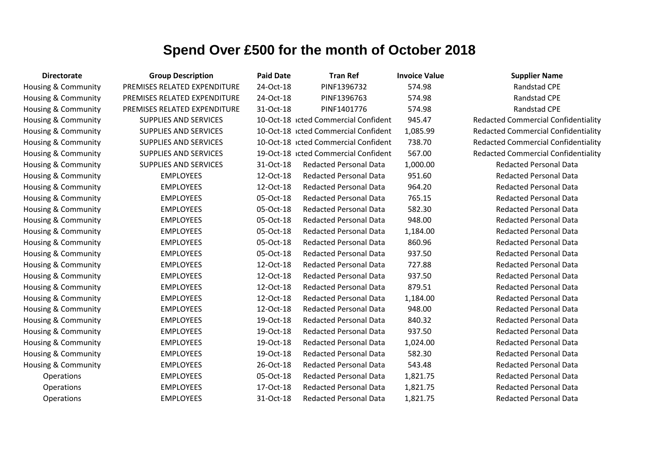| <b>Directorate</b>             | <b>Group Description</b>     | <b>Paid Date</b> | <b>Tran Ref</b>                      | <b>Invoice Value</b> | <b>Supplier Name</b>                       |
|--------------------------------|------------------------------|------------------|--------------------------------------|----------------------|--------------------------------------------|
| Housing & Community            | PREMISES RELATED EXPENDITURE | 24-Oct-18        | PINF1396732                          | 574.98               | <b>Randstad CPE</b>                        |
| Housing & Community            | PREMISES RELATED EXPENDITURE | 24-Oct-18        | PINF1396763                          | 574.98               | Randstad CPE                               |
| Housing & Community            | PREMISES RELATED EXPENDITURE | 31-Oct-18        | PINF1401776                          | 574.98               | Randstad CPE                               |
| Housing & Community            | <b>SUPPLIES AND SERVICES</b> |                  | 10-Oct-18 icted Commercial Confident | 945.47               | <b>Redacted Commercial Confidentiality</b> |
| Housing & Community            | <b>SUPPLIES AND SERVICES</b> |                  | 10-Oct-18 icted Commercial Confident | 1,085.99             | <b>Redacted Commercial Confidentiality</b> |
| Housing & Community            | <b>SUPPLIES AND SERVICES</b> |                  | 10-Oct-18 icted Commercial Confident | 738.70               | <b>Redacted Commercial Confidentiality</b> |
| Housing & Community            | <b>SUPPLIES AND SERVICES</b> |                  | 19-Oct-18 icted Commercial Confident | 567.00               | <b>Redacted Commercial Confidentiality</b> |
| Housing & Community            | <b>SUPPLIES AND SERVICES</b> | 31-Oct-18        | <b>Redacted Personal Data</b>        | 1,000.00             | <b>Redacted Personal Data</b>              |
| Housing & Community            | <b>EMPLOYEES</b>             | 12-Oct-18        | <b>Redacted Personal Data</b>        | 951.60               | <b>Redacted Personal Data</b>              |
| Housing & Community            | <b>EMPLOYEES</b>             | 12-Oct-18        | <b>Redacted Personal Data</b>        | 964.20               | <b>Redacted Personal Data</b>              |
| Housing & Community            | <b>EMPLOYEES</b>             | 05-Oct-18        | <b>Redacted Personal Data</b>        | 765.15               | <b>Redacted Personal Data</b>              |
| Housing & Community            | <b>EMPLOYEES</b>             | 05-Oct-18        | <b>Redacted Personal Data</b>        | 582.30               | <b>Redacted Personal Data</b>              |
| Housing & Community            | <b>EMPLOYEES</b>             | 05-Oct-18        | <b>Redacted Personal Data</b>        | 948.00               | <b>Redacted Personal Data</b>              |
| Housing & Community            | <b>EMPLOYEES</b>             | 05-Oct-18        | <b>Redacted Personal Data</b>        | 1,184.00             | <b>Redacted Personal Data</b>              |
| Housing & Community            | <b>EMPLOYEES</b>             | 05-Oct-18        | <b>Redacted Personal Data</b>        | 860.96               | <b>Redacted Personal Data</b>              |
| Housing & Community            | <b>EMPLOYEES</b>             | 05-Oct-18        | <b>Redacted Personal Data</b>        | 937.50               | <b>Redacted Personal Data</b>              |
| <b>Housing &amp; Community</b> | <b>EMPLOYEES</b>             | 12-Oct-18        | <b>Redacted Personal Data</b>        | 727.88               | <b>Redacted Personal Data</b>              |
| Housing & Community            | <b>EMPLOYEES</b>             | 12-Oct-18        | <b>Redacted Personal Data</b>        | 937.50               | <b>Redacted Personal Data</b>              |
| Housing & Community            | <b>EMPLOYEES</b>             | 12-Oct-18        | <b>Redacted Personal Data</b>        | 879.51               | <b>Redacted Personal Data</b>              |
| Housing & Community            | <b>EMPLOYEES</b>             | 12-Oct-18        | <b>Redacted Personal Data</b>        | 1,184.00             | <b>Redacted Personal Data</b>              |
| Housing & Community            | <b>EMPLOYEES</b>             | 12-Oct-18        | <b>Redacted Personal Data</b>        | 948.00               | <b>Redacted Personal Data</b>              |
| Housing & Community            | <b>EMPLOYEES</b>             | 19-Oct-18        | <b>Redacted Personal Data</b>        | 840.32               | <b>Redacted Personal Data</b>              |
| Housing & Community            | <b>EMPLOYEES</b>             | 19-Oct-18        | <b>Redacted Personal Data</b>        | 937.50               | <b>Redacted Personal Data</b>              |
| Housing & Community            | <b>EMPLOYEES</b>             | 19-Oct-18        | <b>Redacted Personal Data</b>        | 1,024.00             | <b>Redacted Personal Data</b>              |
| Housing & Community            | <b>EMPLOYEES</b>             | 19-Oct-18        | <b>Redacted Personal Data</b>        | 582.30               | <b>Redacted Personal Data</b>              |
| Housing & Community            | <b>EMPLOYEES</b>             | 26-Oct-18        | <b>Redacted Personal Data</b>        | 543.48               | <b>Redacted Personal Data</b>              |
| Operations                     | <b>EMPLOYEES</b>             | 05-Oct-18        | <b>Redacted Personal Data</b>        | 1,821.75             | <b>Redacted Personal Data</b>              |
| Operations                     | <b>EMPLOYEES</b>             | 17-Oct-18        | <b>Redacted Personal Data</b>        | 1,821.75             | Redacted Personal Data                     |
| Operations                     | <b>EMPLOYEES</b>             | 31-Oct-18        | <b>Redacted Personal Data</b>        | 1,821.75             | <b>Redacted Personal Data</b>              |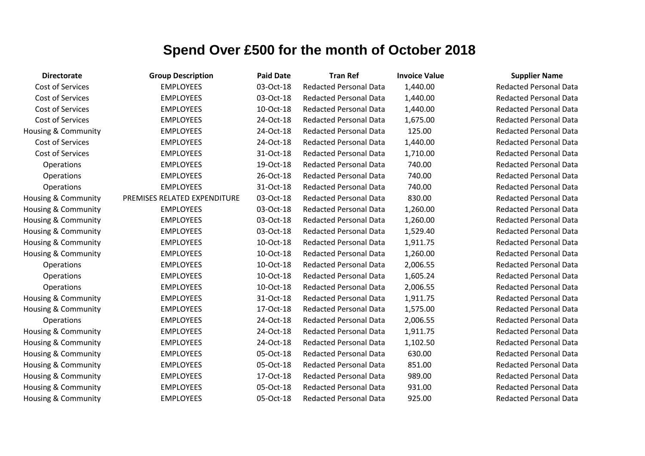| <b>Directorate</b>             | <b>Group Description</b>     | <b>Paid Date</b> | <b>Tran Ref</b>               | <b>Invoice Value</b> | <b>Supplier Name</b>          |
|--------------------------------|------------------------------|------------------|-------------------------------|----------------------|-------------------------------|
| Cost of Services               | <b>EMPLOYEES</b>             | 03-Oct-18        | <b>Redacted Personal Data</b> | 1,440.00             | <b>Redacted Personal Data</b> |
| Cost of Services               | <b>EMPLOYEES</b>             | 03-Oct-18        | <b>Redacted Personal Data</b> | 1,440.00             | <b>Redacted Personal Data</b> |
| Cost of Services               | <b>EMPLOYEES</b>             | 10-Oct-18        | <b>Redacted Personal Data</b> | 1,440.00             | <b>Redacted Personal Data</b> |
| Cost of Services               | <b>EMPLOYEES</b>             | 24-Oct-18        | <b>Redacted Personal Data</b> | 1,675.00             | <b>Redacted Personal Data</b> |
| <b>Housing &amp; Community</b> | <b>EMPLOYEES</b>             | 24-Oct-18        | <b>Redacted Personal Data</b> | 125.00               | <b>Redacted Personal Data</b> |
| Cost of Services               | <b>EMPLOYEES</b>             | 24-Oct-18        | Redacted Personal Data        | 1,440.00             | <b>Redacted Personal Data</b> |
| Cost of Services               | <b>EMPLOYEES</b>             | 31-Oct-18        | <b>Redacted Personal Data</b> | 1,710.00             | <b>Redacted Personal Data</b> |
| Operations                     | <b>EMPLOYEES</b>             | 19-Oct-18        | <b>Redacted Personal Data</b> | 740.00               | <b>Redacted Personal Data</b> |
| Operations                     | <b>EMPLOYEES</b>             | 26-Oct-18        | <b>Redacted Personal Data</b> | 740.00               | <b>Redacted Personal Data</b> |
| Operations                     | <b>EMPLOYEES</b>             | 31-Oct-18        | <b>Redacted Personal Data</b> | 740.00               | <b>Redacted Personal Data</b> |
| Housing & Community            | PREMISES RELATED EXPENDITURE | 03-Oct-18        | <b>Redacted Personal Data</b> | 830.00               | <b>Redacted Personal Data</b> |
| Housing & Community            | <b>EMPLOYEES</b>             | 03-Oct-18        | <b>Redacted Personal Data</b> | 1,260.00             | <b>Redacted Personal Data</b> |
| Housing & Community            | <b>EMPLOYEES</b>             | 03-Oct-18        | <b>Redacted Personal Data</b> | 1,260.00             | <b>Redacted Personal Data</b> |
| Housing & Community            | <b>EMPLOYEES</b>             | 03-Oct-18        | <b>Redacted Personal Data</b> | 1,529.40             | <b>Redacted Personal Data</b> |
| Housing & Community            | <b>EMPLOYEES</b>             | 10-Oct-18        | <b>Redacted Personal Data</b> | 1,911.75             | <b>Redacted Personal Data</b> |
| Housing & Community            | <b>EMPLOYEES</b>             | 10-Oct-18        | <b>Redacted Personal Data</b> | 1,260.00             | <b>Redacted Personal Data</b> |
| Operations                     | <b>EMPLOYEES</b>             | 10-Oct-18        | <b>Redacted Personal Data</b> | 2,006.55             | <b>Redacted Personal Data</b> |
| Operations                     | <b>EMPLOYEES</b>             | 10-Oct-18        | <b>Redacted Personal Data</b> | 1,605.24             | <b>Redacted Personal Data</b> |
| Operations                     | <b>EMPLOYEES</b>             | 10-Oct-18        | <b>Redacted Personal Data</b> | 2,006.55             | <b>Redacted Personal Data</b> |
| Housing & Community            | <b>EMPLOYEES</b>             | 31-Oct-18        | <b>Redacted Personal Data</b> | 1,911.75             | <b>Redacted Personal Data</b> |
| Housing & Community            | <b>EMPLOYEES</b>             | 17-Oct-18        | <b>Redacted Personal Data</b> | 1,575.00             | <b>Redacted Personal Data</b> |
| Operations                     | <b>EMPLOYEES</b>             | 24-Oct-18        | <b>Redacted Personal Data</b> | 2,006.55             | <b>Redacted Personal Data</b> |
| Housing & Community            | <b>EMPLOYEES</b>             | 24-Oct-18        | <b>Redacted Personal Data</b> | 1,911.75             | <b>Redacted Personal Data</b> |
| Housing & Community            | <b>EMPLOYEES</b>             | 24-Oct-18        | <b>Redacted Personal Data</b> | 1,102.50             | <b>Redacted Personal Data</b> |
| Housing & Community            | <b>EMPLOYEES</b>             | 05-Oct-18        | <b>Redacted Personal Data</b> | 630.00               | <b>Redacted Personal Data</b> |
| Housing & Community            | <b>EMPLOYEES</b>             | 05-Oct-18        | <b>Redacted Personal Data</b> | 851.00               | <b>Redacted Personal Data</b> |
| Housing & Community            | <b>EMPLOYEES</b>             | 17-Oct-18        | <b>Redacted Personal Data</b> | 989.00               | <b>Redacted Personal Data</b> |
| Housing & Community            | <b>EMPLOYEES</b>             | 05-Oct-18        | <b>Redacted Personal Data</b> | 931.00               | <b>Redacted Personal Data</b> |
| Housing & Community            | <b>EMPLOYEES</b>             | 05-Oct-18        | <b>Redacted Personal Data</b> | 925.00               | <b>Redacted Personal Data</b> |

#### Redacted Personal Data **Redacted Personal Data** Redacted Personal Data Redacted Personal Data Redacted Personal Data Redacted Personal Data **Redacted Personal Data Redacted Personal Data Redacted Personal Data** Redacted Personal Data Redacted Personal Data Redacted Personal Data Redacted Personal Data Redacted Personal Data Redacted Personal Data **Redacted Personal Data Redacted Personal Data Redacted Personal Data** Redacted Personal Data Redacted Personal Data Redacted Personal Data Redacted Personal Data Redacted Personal Data Redacted Personal Data Redacted Personal Data Redacted Personal Data Redacted Personal Data Redacted Personal Data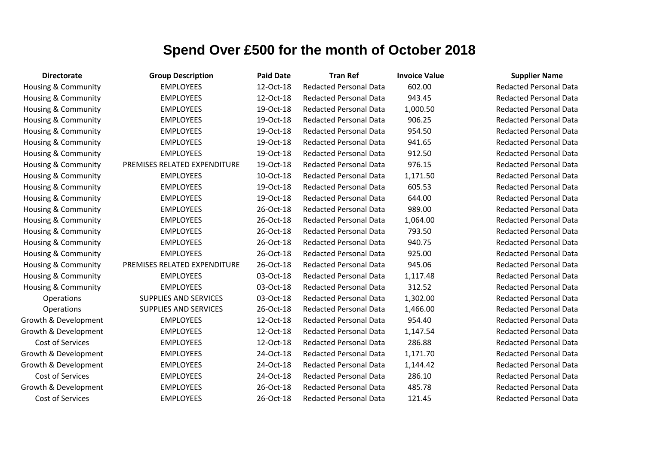| <b>Directorate</b>             | <b>Group Description</b>     | <b>Paid Date</b> | <b>Tran Ref</b>               | <b>Invoice Value</b> | <b>Supplier Name</b>          |
|--------------------------------|------------------------------|------------------|-------------------------------|----------------------|-------------------------------|
| Housing & Community            | <b>EMPLOYEES</b>             | 12-Oct-18        | <b>Redacted Personal Data</b> | 602.00               | <b>Redacted Personal Data</b> |
| Housing & Community            | <b>EMPLOYEES</b>             | 12-Oct-18        | <b>Redacted Personal Data</b> | 943.45               | <b>Redacted Personal Data</b> |
| Housing & Community            | <b>EMPLOYEES</b>             | 19-Oct-18        | <b>Redacted Personal Data</b> | 1,000.50             | <b>Redacted Personal Data</b> |
| Housing & Community            | <b>EMPLOYEES</b>             | 19-Oct-18        | <b>Redacted Personal Data</b> | 906.25               | <b>Redacted Personal Data</b> |
| Housing & Community            | <b>EMPLOYEES</b>             | 19-Oct-18        | <b>Redacted Personal Data</b> | 954.50               | <b>Redacted Personal Data</b> |
| Housing & Community            | <b>EMPLOYEES</b>             | 19-Oct-18        | <b>Redacted Personal Data</b> | 941.65               | <b>Redacted Personal Data</b> |
| Housing & Community            | <b>EMPLOYEES</b>             | 19-Oct-18        | <b>Redacted Personal Data</b> | 912.50               | <b>Redacted Personal Data</b> |
| Housing & Community            | PREMISES RELATED EXPENDITURE | 19-Oct-18        | <b>Redacted Personal Data</b> | 976.15               | <b>Redacted Personal Data</b> |
| <b>Housing &amp; Community</b> | <b>EMPLOYEES</b>             | 10-Oct-18        | <b>Redacted Personal Data</b> | 1,171.50             | <b>Redacted Personal Data</b> |
| Housing & Community            | <b>EMPLOYEES</b>             | 19-Oct-18        | <b>Redacted Personal Data</b> | 605.53               | <b>Redacted Personal Data</b> |
| Housing & Community            | <b>EMPLOYEES</b>             | 19-Oct-18        | <b>Redacted Personal Data</b> | 644.00               | <b>Redacted Personal Data</b> |
| Housing & Community            | <b>EMPLOYEES</b>             | 26-Oct-18        | <b>Redacted Personal Data</b> | 989.00               | <b>Redacted Personal Data</b> |
| Housing & Community            | <b>EMPLOYEES</b>             | 26-Oct-18        | <b>Redacted Personal Data</b> | 1,064.00             | <b>Redacted Personal Data</b> |
| Housing & Community            | <b>EMPLOYEES</b>             | 26-Oct-18        | <b>Redacted Personal Data</b> | 793.50               | <b>Redacted Personal Data</b> |
| Housing & Community            | <b>EMPLOYEES</b>             | 26-Oct-18        | <b>Redacted Personal Data</b> | 940.75               | <b>Redacted Personal Data</b> |
| Housing & Community            | <b>EMPLOYEES</b>             | 26-Oct-18        | <b>Redacted Personal Data</b> | 925.00               | <b>Redacted Personal Data</b> |
| Housing & Community            | PREMISES RELATED EXPENDITURE | 26-Oct-18        | <b>Redacted Personal Data</b> | 945.06               | <b>Redacted Personal Data</b> |
| Housing & Community            | <b>EMPLOYEES</b>             | 03-Oct-18        | <b>Redacted Personal Data</b> | 1,117.48             | <b>Redacted Personal Data</b> |
| Housing & Community            | <b>EMPLOYEES</b>             | 03-Oct-18        | <b>Redacted Personal Data</b> | 312.52               | <b>Redacted Personal Data</b> |
| Operations                     | <b>SUPPLIES AND SERVICES</b> | 03-Oct-18        | <b>Redacted Personal Data</b> | 1,302.00             | <b>Redacted Personal Data</b> |
| Operations                     | <b>SUPPLIES AND SERVICES</b> | 26-Oct-18        | <b>Redacted Personal Data</b> | 1,466.00             | <b>Redacted Personal Data</b> |
| Growth & Development           | <b>EMPLOYEES</b>             | 12-Oct-18        | <b>Redacted Personal Data</b> | 954.40               | <b>Redacted Personal Data</b> |
| Growth & Development           | <b>EMPLOYEES</b>             | 12-Oct-18        | <b>Redacted Personal Data</b> | 1,147.54             | <b>Redacted Personal Data</b> |
| <b>Cost of Services</b>        | <b>EMPLOYEES</b>             | 12-Oct-18        | <b>Redacted Personal Data</b> | 286.88               | <b>Redacted Personal Data</b> |
| Growth & Development           | <b>EMPLOYEES</b>             | 24-Oct-18        | <b>Redacted Personal Data</b> | 1,171.70             | <b>Redacted Personal Data</b> |
| Growth & Development           | <b>EMPLOYEES</b>             | 24-Oct-18        | <b>Redacted Personal Data</b> | 1,144.42             | <b>Redacted Personal Data</b> |
| <b>Cost of Services</b>        | <b>EMPLOYEES</b>             | 24-Oct-18        | <b>Redacted Personal Data</b> | 286.10               | <b>Redacted Personal Data</b> |
| Growth & Development           | <b>EMPLOYEES</b>             | 26-Oct-18        | <b>Redacted Personal Data</b> | 485.78               | <b>Redacted Personal Data</b> |
| Cost of Services               | <b>EMPLOYEES</b>             | 26-Oct-18        | <b>Redacted Personal Data</b> | 121.45               | <b>Redacted Personal Data</b> |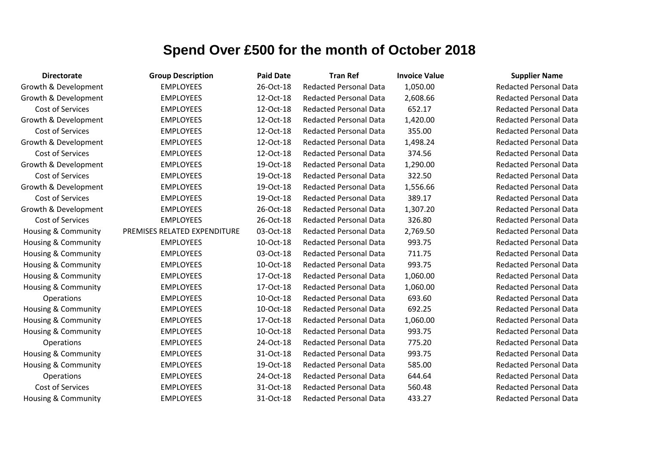| <b>Directorate</b>             | <b>Group Description</b>     | <b>Paid Date</b> | <b>Tran Ref</b>               | <b>Invoice Value</b> | <b>Supplier Name</b>          |
|--------------------------------|------------------------------|------------------|-------------------------------|----------------------|-------------------------------|
| Growth & Development           | <b>EMPLOYEES</b>             | 26-Oct-18        | <b>Redacted Personal Data</b> | 1,050.00             | <b>Redacted Personal Data</b> |
| Growth & Development           | <b>EMPLOYEES</b>             | 12-Oct-18        | <b>Redacted Personal Data</b> | 2,608.66             | <b>Redacted Personal Data</b> |
| Cost of Services               | <b>EMPLOYEES</b>             | 12-Oct-18        | <b>Redacted Personal Data</b> | 652.17               | <b>Redacted Personal Data</b> |
| Growth & Development           | <b>EMPLOYEES</b>             | 12-Oct-18        | <b>Redacted Personal Data</b> | 1,420.00             | <b>Redacted Personal Data</b> |
| Cost of Services               | <b>EMPLOYEES</b>             | 12-Oct-18        | <b>Redacted Personal Data</b> | 355.00               | <b>Redacted Personal Data</b> |
| Growth & Development           | <b>EMPLOYEES</b>             | 12-Oct-18        | <b>Redacted Personal Data</b> | 1,498.24             | <b>Redacted Personal Data</b> |
| Cost of Services               | <b>EMPLOYEES</b>             | 12-Oct-18        | <b>Redacted Personal Data</b> | 374.56               | <b>Redacted Personal Data</b> |
| Growth & Development           | <b>EMPLOYEES</b>             | 19-Oct-18        | <b>Redacted Personal Data</b> | 1,290.00             | <b>Redacted Personal Data</b> |
| Cost of Services               | <b>EMPLOYEES</b>             | 19-Oct-18        | <b>Redacted Personal Data</b> | 322.50               | <b>Redacted Personal Data</b> |
| Growth & Development           | <b>EMPLOYEES</b>             | 19-Oct-18        | <b>Redacted Personal Data</b> | 1,556.66             | <b>Redacted Personal Data</b> |
| Cost of Services               | <b>EMPLOYEES</b>             | 19-Oct-18        | <b>Redacted Personal Data</b> | 389.17               | <b>Redacted Personal Data</b> |
| Growth & Development           | <b>EMPLOYEES</b>             | 26-Oct-18        | <b>Redacted Personal Data</b> | 1,307.20             | <b>Redacted Personal Data</b> |
| Cost of Services               | <b>EMPLOYEES</b>             | 26-Oct-18        | <b>Redacted Personal Data</b> | 326.80               | <b>Redacted Personal Data</b> |
| Housing & Community            | PREMISES RELATED EXPENDITURE | 03-Oct-18        | <b>Redacted Personal Data</b> | 2,769.50             | <b>Redacted Personal Data</b> |
| Housing & Community            | <b>EMPLOYEES</b>             | 10-Oct-18        | <b>Redacted Personal Data</b> | 993.75               | <b>Redacted Personal Data</b> |
| Housing & Community            | <b>EMPLOYEES</b>             | 03-Oct-18        | <b>Redacted Personal Data</b> | 711.75               | <b>Redacted Personal Data</b> |
| Housing & Community            | <b>EMPLOYEES</b>             | 10-Oct-18        | <b>Redacted Personal Data</b> | 993.75               | <b>Redacted Personal Data</b> |
| <b>Housing &amp; Community</b> | <b>EMPLOYEES</b>             | 17-Oct-18        | <b>Redacted Personal Data</b> | 1,060.00             | <b>Redacted Personal Data</b> |
| Housing & Community            | <b>EMPLOYEES</b>             | 17-Oct-18        | <b>Redacted Personal Data</b> | 1,060.00             | <b>Redacted Personal Data</b> |
| <b>Operations</b>              | <b>EMPLOYEES</b>             | 10-Oct-18        | <b>Redacted Personal Data</b> | 693.60               | <b>Redacted Personal Data</b> |
| <b>Housing &amp; Community</b> | <b>EMPLOYEES</b>             | 10-Oct-18        | <b>Redacted Personal Data</b> | 692.25               | <b>Redacted Personal Data</b> |
| Housing & Community            | <b>EMPLOYEES</b>             | 17-Oct-18        | <b>Redacted Personal Data</b> | 1,060.00             | <b>Redacted Personal Data</b> |
| Housing & Community            | <b>EMPLOYEES</b>             | 10-Oct-18        | <b>Redacted Personal Data</b> | 993.75               | <b>Redacted Personal Data</b> |
| Operations                     | <b>EMPLOYEES</b>             | 24-Oct-18        | <b>Redacted Personal Data</b> | 775.20               | <b>Redacted Personal Data</b> |
| Housing & Community            | <b>EMPLOYEES</b>             | 31-Oct-18        | <b>Redacted Personal Data</b> | 993.75               | <b>Redacted Personal Data</b> |
| Housing & Community            | <b>EMPLOYEES</b>             | 19-Oct-18        | <b>Redacted Personal Data</b> | 585.00               | <b>Redacted Personal Data</b> |
| Operations                     | <b>EMPLOYEES</b>             | 24-Oct-18        | <b>Redacted Personal Data</b> | 644.64               | <b>Redacted Personal Data</b> |
| Cost of Services               | <b>EMPLOYEES</b>             | 31-Oct-18        | <b>Redacted Personal Data</b> | 560.48               | <b>Redacted Personal Data</b> |
| Housing & Community            | <b>EMPLOYEES</b>             | 31-Oct-18        | <b>Redacted Personal Data</b> | 433.27               | <b>Redacted Personal Data</b> |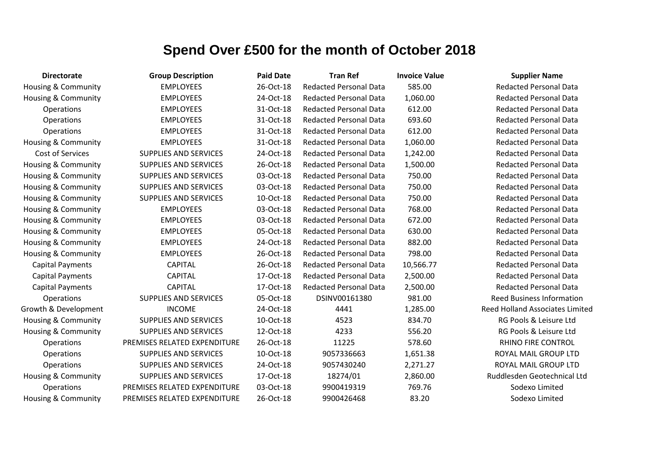| <b>Directorate</b>             | <b>Group Description</b>     | <b>Paid Date</b> | <b>Tran Ref</b>               | <b>Invoice Value</b> | <b>Supplier Name</b>                   |
|--------------------------------|------------------------------|------------------|-------------------------------|----------------------|----------------------------------------|
| <b>Housing &amp; Community</b> | <b>EMPLOYEES</b>             | 26-Oct-18        | <b>Redacted Personal Data</b> | 585.00               | <b>Redacted Personal Data</b>          |
| <b>Housing &amp; Community</b> | <b>EMPLOYEES</b>             | 24-Oct-18        | <b>Redacted Personal Data</b> | 1,060.00             | <b>Redacted Personal Data</b>          |
| Operations                     | <b>EMPLOYEES</b>             | 31-Oct-18        | <b>Redacted Personal Data</b> | 612.00               | <b>Redacted Personal Data</b>          |
| Operations                     | <b>EMPLOYEES</b>             | 31-Oct-18        | <b>Redacted Personal Data</b> | 693.60               | <b>Redacted Personal Data</b>          |
| Operations                     | <b>EMPLOYEES</b>             | 31-Oct-18        | <b>Redacted Personal Data</b> | 612.00               | <b>Redacted Personal Data</b>          |
| <b>Housing &amp; Community</b> | <b>EMPLOYEES</b>             | 31-Oct-18        | <b>Redacted Personal Data</b> | 1,060.00             | <b>Redacted Personal Data</b>          |
| Cost of Services               | <b>SUPPLIES AND SERVICES</b> | 24-Oct-18        | <b>Redacted Personal Data</b> | 1,242.00             | <b>Redacted Personal Data</b>          |
| <b>Housing &amp; Community</b> | <b>SUPPLIES AND SERVICES</b> | 26-Oct-18        | <b>Redacted Personal Data</b> | 1,500.00             | <b>Redacted Personal Data</b>          |
| <b>Housing &amp; Community</b> | <b>SUPPLIES AND SERVICES</b> | 03-Oct-18        | <b>Redacted Personal Data</b> | 750.00               | <b>Redacted Personal Data</b>          |
| <b>Housing &amp; Community</b> | SUPPLIES AND SERVICES        | 03-Oct-18        | <b>Redacted Personal Data</b> | 750.00               | <b>Redacted Personal Data</b>          |
| Housing & Community            | <b>SUPPLIES AND SERVICES</b> | 10-Oct-18        | <b>Redacted Personal Data</b> | 750.00               | <b>Redacted Personal Data</b>          |
| Housing & Community            | <b>EMPLOYEES</b>             | 03-Oct-18        | <b>Redacted Personal Data</b> | 768.00               | <b>Redacted Personal Data</b>          |
| Housing & Community            | <b>EMPLOYEES</b>             | 03-Oct-18        | <b>Redacted Personal Data</b> | 672.00               | <b>Redacted Personal Data</b>          |
| Housing & Community            | <b>EMPLOYEES</b>             | 05-Oct-18        | <b>Redacted Personal Data</b> | 630.00               | <b>Redacted Personal Data</b>          |
| Housing & Community            | <b>EMPLOYEES</b>             | 24-Oct-18        | <b>Redacted Personal Data</b> | 882.00               | <b>Redacted Personal Data</b>          |
| <b>Housing &amp; Community</b> | <b>EMPLOYEES</b>             | 26-Oct-18        | <b>Redacted Personal Data</b> | 798.00               | <b>Redacted Personal Data</b>          |
| <b>Capital Payments</b>        | <b>CAPITAL</b>               | 26-Oct-18        | <b>Redacted Personal Data</b> | 10,566.77            | <b>Redacted Personal Data</b>          |
| <b>Capital Payments</b>        | <b>CAPITAL</b>               | 17-Oct-18        | <b>Redacted Personal Data</b> | 2,500.00             | <b>Redacted Personal Data</b>          |
| <b>Capital Payments</b>        | <b>CAPITAL</b>               | 17-Oct-18        | <b>Redacted Personal Data</b> | 2,500.00             | <b>Redacted Personal Data</b>          |
| Operations                     | <b>SUPPLIES AND SERVICES</b> | 05-Oct-18        | DSINV00161380                 | 981.00               | <b>Reed Business Information</b>       |
| Growth & Development           | <b>INCOME</b>                | 24-Oct-18        | 4441                          | 1,285.00             | <b>Reed Holland Associates Limited</b> |
| <b>Housing &amp; Community</b> | <b>SUPPLIES AND SERVICES</b> | 10-Oct-18        | 4523                          | 834.70               | RG Pools & Leisure Ltd                 |
| Housing & Community            | SUPPLIES AND SERVICES        | 12-Oct-18        | 4233                          | 556.20               | RG Pools & Leisure Ltd                 |
| Operations                     | PREMISES RELATED EXPENDITURE | 26-Oct-18        | 11225                         | 578.60               | RHINO FIRE CONTROL                     |
| Operations                     | <b>SUPPLIES AND SERVICES</b> | 10-Oct-18        | 9057336663                    | 1,651.38             | ROYAL MAIL GROUP LTD                   |
| Operations                     | <b>SUPPLIES AND SERVICES</b> | 24-Oct-18        | 9057430240                    | 2,271.27             | ROYAL MAIL GROUP LTD                   |
| Housing & Community            | <b>SUPPLIES AND SERVICES</b> | 17-Oct-18        | 18274/01                      | 2,860.00             | Ruddlesden Geotechnical Ltd            |
| Operations                     | PREMISES RELATED EXPENDITURE | 03-Oct-18        | 9900419319                    | 769.76               | Sodexo Limited                         |
| Housing & Community            | PREMISES RELATED EXPENDITURE | 26-Oct-18        | 9900426468                    | 83.20                | Sodexo Limited                         |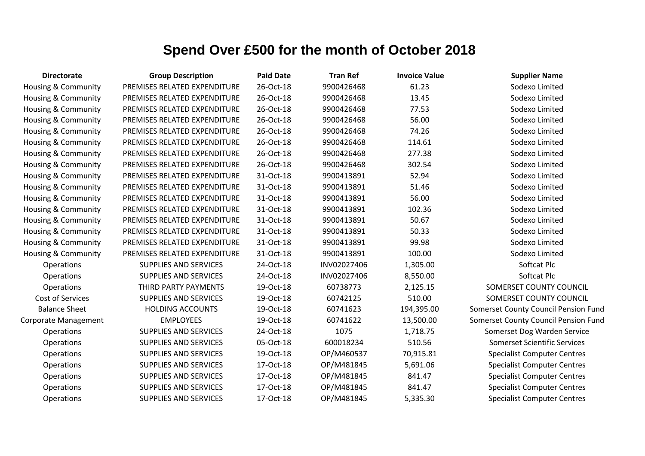| <b>Directorate</b>             | <b>Group Description</b>     | <b>Paid Date</b> | <b>Tran Ref</b> | <b>Invoice Value</b> | <b>Supplier Name</b>                 |
|--------------------------------|------------------------------|------------------|-----------------|----------------------|--------------------------------------|
| Housing & Community            | PREMISES RELATED EXPENDITURE | 26-Oct-18        | 9900426468      | 61.23                | Sodexo Limited                       |
| <b>Housing &amp; Community</b> | PREMISES RELATED EXPENDITURE | 26-Oct-18        | 9900426468      | 13.45                | Sodexo Limited                       |
| Housing & Community            | PREMISES RELATED EXPENDITURE | 26-Oct-18        | 9900426468      | 77.53                | Sodexo Limited                       |
| Housing & Community            | PREMISES RELATED EXPENDITURE | 26-Oct-18        | 9900426468      | 56.00                | Sodexo Limited                       |
| Housing & Community            | PREMISES RELATED EXPENDITURE | 26-Oct-18        | 9900426468      | 74.26                | Sodexo Limited                       |
| <b>Housing &amp; Community</b> | PREMISES RELATED EXPENDITURE | 26-Oct-18        | 9900426468      | 114.61               | Sodexo Limited                       |
| Housing & Community            | PREMISES RELATED EXPENDITURE | 26-Oct-18        | 9900426468      | 277.38               | Sodexo Limited                       |
| <b>Housing &amp; Community</b> | PREMISES RELATED EXPENDITURE | 26-Oct-18        | 9900426468      | 302.54               | Sodexo Limited                       |
| <b>Housing &amp; Community</b> | PREMISES RELATED EXPENDITURE | 31-Oct-18        | 9900413891      | 52.94                | Sodexo Limited                       |
| <b>Housing &amp; Community</b> | PREMISES RELATED EXPENDITURE | 31-Oct-18        | 9900413891      | 51.46                | Sodexo Limited                       |
| Housing & Community            | PREMISES RELATED EXPENDITURE | 31-Oct-18        | 9900413891      | 56.00                | Sodexo Limited                       |
| Housing & Community            | PREMISES RELATED EXPENDITURE | 31-Oct-18        | 9900413891      | 102.36               | Sodexo Limited                       |
| Housing & Community            | PREMISES RELATED EXPENDITURE | 31-Oct-18        | 9900413891      | 50.67                | Sodexo Limited                       |
| <b>Housing &amp; Community</b> | PREMISES RELATED EXPENDITURE | 31-Oct-18        | 9900413891      | 50.33                | Sodexo Limited                       |
| Housing & Community            | PREMISES RELATED EXPENDITURE | 31-Oct-18        | 9900413891      | 99.98                | Sodexo Limited                       |
| <b>Housing &amp; Community</b> | PREMISES RELATED EXPENDITURE | 31-Oct-18        | 9900413891      | 100.00               | Sodexo Limited                       |
| Operations                     | <b>SUPPLIES AND SERVICES</b> | 24-Oct-18        | INV02027406     | 1,305.00             | Softcat Plc                          |
| Operations                     | <b>SUPPLIES AND SERVICES</b> | 24-Oct-18        | INV02027406     | 8,550.00             | Softcat Plc                          |
| Operations                     | THIRD PARTY PAYMENTS         | 19-Oct-18        | 60738773        | 2,125.15             | SOMERSET COUNTY COUNCIL              |
| Cost of Services               | <b>SUPPLIES AND SERVICES</b> | 19-Oct-18        | 60742125        | 510.00               | SOMERSET COUNTY COUNCIL              |
| <b>Balance Sheet</b>           | <b>HOLDING ACCOUNTS</b>      | 19-Oct-18        | 60741623        | 194,395.00           | Somerset County Council Pension Fund |
| Corporate Management           | <b>EMPLOYEES</b>             | 19-Oct-18        | 60741622        | 13,500.00            | Somerset County Council Pension Fund |
| Operations                     | <b>SUPPLIES AND SERVICES</b> | 24-Oct-18        | 1075            | 1,718.75             | Somerset Dog Warden Service          |
| Operations                     | <b>SUPPLIES AND SERVICES</b> | 05-Oct-18        | 600018234       | 510.56               | <b>Somerset Scientific Services</b>  |
| Operations                     | SUPPLIES AND SERVICES        | 19-Oct-18        | OP/M460537      | 70,915.81            | <b>Specialist Computer Centres</b>   |
| Operations                     | SUPPLIES AND SERVICES        | 17-Oct-18        | OP/M481845      | 5,691.06             | <b>Specialist Computer Centres</b>   |
| Operations                     | SUPPLIES AND SERVICES        | 17-Oct-18        | OP/M481845      | 841.47               | <b>Specialist Computer Centres</b>   |
| Operations                     | <b>SUPPLIES AND SERVICES</b> | 17-Oct-18        | OP/M481845      | 841.47               | <b>Specialist Computer Centres</b>   |
| Operations                     | <b>SUPPLIES AND SERVICES</b> | 17-Oct-18        | OP/M481845      | 5,335.30             | <b>Specialist Computer Centres</b>   |
|                                |                              |                  |                 |                      |                                      |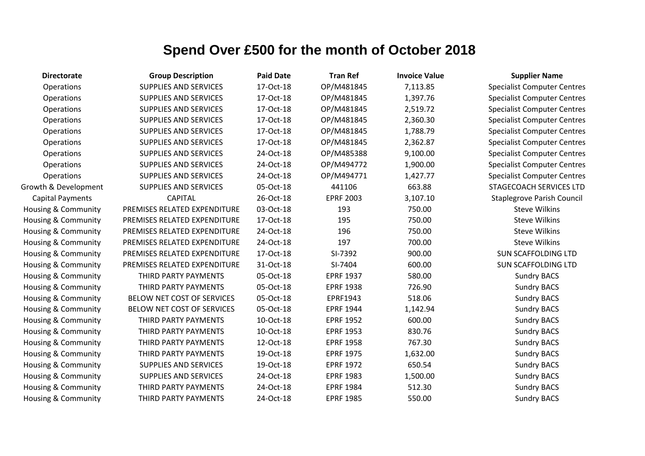| <b>Directorate</b>             | <b>Group Description</b>     | <b>Paid Date</b> | <b>Tran Ref</b>  | <b>Invoice Value</b> | <b>Supplier Name</b>               |
|--------------------------------|------------------------------|------------------|------------------|----------------------|------------------------------------|
| Operations                     | <b>SUPPLIES AND SERVICES</b> | 17-Oct-18        | OP/M481845       | 7,113.85             | <b>Specialist Computer Centres</b> |
| Operations                     | <b>SUPPLIES AND SERVICES</b> | 17-Oct-18        | OP/M481845       | 1,397.76             | <b>Specialist Computer Centres</b> |
| Operations                     | <b>SUPPLIES AND SERVICES</b> | 17-Oct-18        | OP/M481845       | 2,519.72             | <b>Specialist Computer Centres</b> |
| Operations                     | <b>SUPPLIES AND SERVICES</b> | 17-Oct-18        | OP/M481845       | 2,360.30             | <b>Specialist Computer Centres</b> |
| Operations                     | <b>SUPPLIES AND SERVICES</b> | 17-Oct-18        | OP/M481845       | 1,788.79             | <b>Specialist Computer Centres</b> |
| Operations                     | SUPPLIES AND SERVICES        | 17-Oct-18        | OP/M481845       | 2,362.87             | <b>Specialist Computer Centres</b> |
| Operations                     | SUPPLIES AND SERVICES        | 24-Oct-18        | OP/M485388       | 9,100.00             | <b>Specialist Computer Centres</b> |
| Operations                     | <b>SUPPLIES AND SERVICES</b> | 24-Oct-18        | OP/M494772       | 1,900.00             | <b>Specialist Computer Centres</b> |
| Operations                     | SUPPLIES AND SERVICES        | 24-Oct-18        | OP/M494771       | 1,427.77             | <b>Specialist Computer Centres</b> |
| Growth & Development           | SUPPLIES AND SERVICES        | 05-Oct-18        | 441106           | 663.88               | <b>STAGECOACH SERVICES LTD</b>     |
| <b>Capital Payments</b>        | <b>CAPITAL</b>               | 26-Oct-18        | <b>EPRF 2003</b> | 3,107.10             | Staplegrove Parish Council         |
| <b>Housing &amp; Community</b> | PREMISES RELATED EXPENDITURE | 03-Oct-18        | 193              | 750.00               | <b>Steve Wilkins</b>               |
| <b>Housing &amp; Community</b> | PREMISES RELATED EXPENDITURE | 17-Oct-18        | 195              | 750.00               | <b>Steve Wilkins</b>               |
| Housing & Community            | PREMISES RELATED EXPENDITURE | 24-Oct-18        | 196              | 750.00               | <b>Steve Wilkins</b>               |
| Housing & Community            | PREMISES RELATED EXPENDITURE | 24-Oct-18        | 197              | 700.00               | <b>Steve Wilkins</b>               |
| <b>Housing &amp; Community</b> | PREMISES RELATED EXPENDITURE | 17-Oct-18        | SI-7392          | 900.00               | <b>SUN SCAFFOLDING LTD</b>         |
| Housing & Community            | PREMISES RELATED EXPENDITURE | 31-Oct-18        | SI-7404          | 600.00               | <b>SUN SCAFFOLDING LTD</b>         |
| Housing & Community            | THIRD PARTY PAYMENTS         | 05-Oct-18        | <b>EPRF 1937</b> | 580.00               | <b>Sundry BACS</b>                 |
| Housing & Community            | THIRD PARTY PAYMENTS         | 05-Oct-18        | <b>EPRF 1938</b> | 726.90               | <b>Sundry BACS</b>                 |
| <b>Housing &amp; Community</b> | BELOW NET COST OF SERVICES   | 05-Oct-18        | EPRF1943         | 518.06               | <b>Sundry BACS</b>                 |
| Housing & Community            | BELOW NET COST OF SERVICES   | 05-Oct-18        | <b>EPRF 1944</b> | 1,142.94             | <b>Sundry BACS</b>                 |
| Housing & Community            | THIRD PARTY PAYMENTS         | 10-Oct-18        | <b>EPRF 1952</b> | 600.00               | <b>Sundry BACS</b>                 |
| Housing & Community            | THIRD PARTY PAYMENTS         | 10-Oct-18        | <b>EPRF 1953</b> | 830.76               | <b>Sundry BACS</b>                 |
| Housing & Community            | THIRD PARTY PAYMENTS         | 12-Oct-18        | <b>EPRF 1958</b> | 767.30               | <b>Sundry BACS</b>                 |
| Housing & Community            | THIRD PARTY PAYMENTS         | 19-Oct-18        | <b>EPRF 1975</b> | 1,632.00             | <b>Sundry BACS</b>                 |
| <b>Housing &amp; Community</b> | <b>SUPPLIES AND SERVICES</b> | 19-Oct-18        | <b>EPRF 1972</b> | 650.54               | <b>Sundry BACS</b>                 |
| Housing & Community            | <b>SUPPLIES AND SERVICES</b> | 24-Oct-18        | <b>EPRF 1983</b> | 1,500.00             | <b>Sundry BACS</b>                 |
| <b>Housing &amp; Community</b> | THIRD PARTY PAYMENTS         | 24-Oct-18        | <b>EPRF 1984</b> | 512.30               | <b>Sundry BACS</b>                 |
| <b>Housing &amp; Community</b> | THIRD PARTY PAYMENTS         | 24-Oct-18        | <b>EPRF 1985</b> | 550.00               | <b>Sundry BACS</b>                 |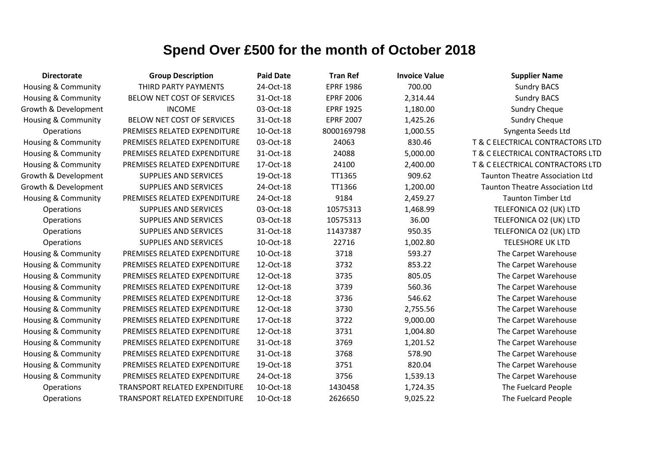| <b>Directorate</b>             | <b>Group Description</b>             | <b>Paid Date</b> | <b>Tran Ref</b>  | <b>Invoice Value</b> | <b>Supplier Name</b>                   |
|--------------------------------|--------------------------------------|------------------|------------------|----------------------|----------------------------------------|
| <b>Housing &amp; Community</b> | THIRD PARTY PAYMENTS                 | 24-Oct-18        | <b>EPRF 1986</b> | 700.00               | <b>Sundry BACS</b>                     |
| Housing & Community            | BELOW NET COST OF SERVICES           | 31-Oct-18        | <b>EPRF 2006</b> | 2,314.44             | <b>Sundry BACS</b>                     |
| Growth & Development           | <b>INCOME</b>                        | 03-Oct-18        | <b>EPRF 1925</b> | 1,180.00             | <b>Sundry Cheque</b>                   |
| <b>Housing &amp; Community</b> | BELOW NET COST OF SERVICES           | 31-Oct-18        | <b>EPRF 2007</b> | 1,425.26             | <b>Sundry Cheque</b>                   |
| Operations                     | PREMISES RELATED EXPENDITURE         | 10-Oct-18        | 8000169798       | 1,000.55             | Syngenta Seeds Ltd                     |
| <b>Housing &amp; Community</b> | PREMISES RELATED EXPENDITURE         | 03-Oct-18        | 24063            | 830.46               | T & C ELECTRICAL CONTRACTORS LTD       |
| Housing & Community            | PREMISES RELATED EXPENDITURE         | 31-Oct-18        | 24088            | 5,000.00             | T & C ELECTRICAL CONTRACTORS LTD       |
| Housing & Community            | PREMISES RELATED EXPENDITURE         | 17-Oct-18        | 24100            | 2,400.00             | T & C ELECTRICAL CONTRACTORS LTD       |
| Growth & Development           | <b>SUPPLIES AND SERVICES</b>         | 19-Oct-18        | TT1365           | 909.62               | <b>Taunton Theatre Association Ltd</b> |
| Growth & Development           | <b>SUPPLIES AND SERVICES</b>         | 24-Oct-18        | TT1366           | 1,200.00             | <b>Taunton Theatre Association Ltd</b> |
| Housing & Community            | PREMISES RELATED EXPENDITURE         | 24-Oct-18        | 9184             | 2,459.27             | <b>Taunton Timber Ltd</b>              |
| Operations                     | <b>SUPPLIES AND SERVICES</b>         | 03-Oct-18        | 10575313         | 1,468.99             | TELEFONICA O2 (UK) LTD                 |
| Operations                     | SUPPLIES AND SERVICES                | 03-Oct-18        | 10575313         | 36.00                | TELEFONICA O2 (UK) LTD                 |
| Operations                     | <b>SUPPLIES AND SERVICES</b>         | 31-Oct-18        | 11437387         | 950.35               | TELEFONICA O2 (UK) LTD                 |
| Operations                     | <b>SUPPLIES AND SERVICES</b>         | 10-Oct-18        | 22716            | 1,002.80             | <b>TELESHORE UK LTD</b>                |
| <b>Housing &amp; Community</b> | PREMISES RELATED EXPENDITURE         | 10-Oct-18        | 3718             | 593.27               | The Carpet Warehouse                   |
| Housing & Community            | PREMISES RELATED EXPENDITURE         | 12-Oct-18        | 3732             | 853.22               | The Carpet Warehouse                   |
| Housing & Community            | PREMISES RELATED EXPENDITURE         | 12-Oct-18        | 3735             | 805.05               | The Carpet Warehouse                   |
| Housing & Community            | PREMISES RELATED EXPENDITURE         | 12-Oct-18        | 3739             | 560.36               | The Carpet Warehouse                   |
| <b>Housing &amp; Community</b> | PREMISES RELATED EXPENDITURE         | 12-Oct-18        | 3736             | 546.62               | The Carpet Warehouse                   |
| Housing & Community            | PREMISES RELATED EXPENDITURE         | 12-Oct-18        | 3730             | 2,755.56             | The Carpet Warehouse                   |
| Housing & Community            | PREMISES RELATED EXPENDITURE         | 17-Oct-18        | 3722             | 9,000.00             | The Carpet Warehouse                   |
| Housing & Community            | PREMISES RELATED EXPENDITURE         | 12-Oct-18        | 3731             | 1,004.80             | The Carpet Warehouse                   |
| Housing & Community            | PREMISES RELATED EXPENDITURE         | 31-Oct-18        | 3769             | 1,201.52             | The Carpet Warehouse                   |
| Housing & Community            | PREMISES RELATED EXPENDITURE         | 31-Oct-18        | 3768             | 578.90               | The Carpet Warehouse                   |
| <b>Housing &amp; Community</b> | PREMISES RELATED EXPENDITURE         | 19-Oct-18        | 3751             | 820.04               | The Carpet Warehouse                   |
| Housing & Community            | PREMISES RELATED EXPENDITURE         | 24-Oct-18        | 3756             | 1,539.13             | The Carpet Warehouse                   |
| Operations                     | <b>TRANSPORT RELATED EXPENDITURE</b> | 10-Oct-18        | 1430458          | 1,724.35             | The Fuelcard People                    |
| Operations                     | TRANSPORT RELATED EXPENDITURE        | 10-Oct-18        | 2626650          | 9,025.22             | The Fuelcard People                    |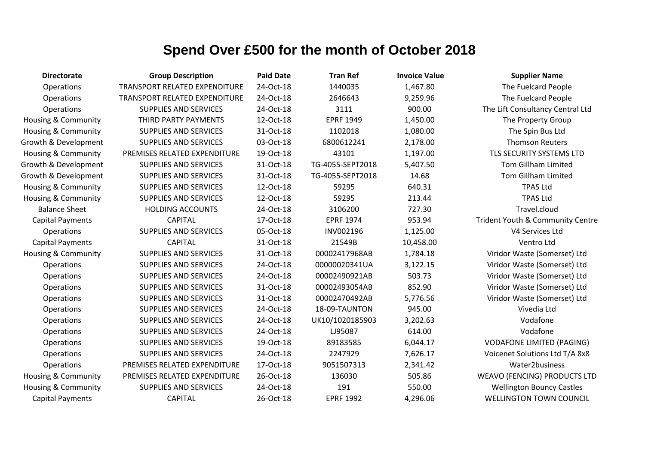| <b>Directorate</b>             | <b>Group Description</b>             | <b>Paid Date</b> | <b>Tran Ref</b>  | <b>Invoice Value</b> | <b>Supplier Name</b>                |
|--------------------------------|--------------------------------------|------------------|------------------|----------------------|-------------------------------------|
| Operations                     | <b>TRANSPORT RELATED EXPENDITURE</b> | 24-Oct-18        | 1440035          | 1,467.80             | The Fuelcard People                 |
| Operations                     | <b>TRANSPORT RELATED EXPENDITURE</b> | 24-Oct-18        | 2646643          | 9,259.96             | The Fuelcard People                 |
| Operations                     | <b>SUPPLIES AND SERVICES</b>         | 24-Oct-18        | 3111             | 900.00               | The Lift Consultancy Central Ltd    |
| Housing & Community            | THIRD PARTY PAYMENTS                 | 12-Oct-18        | <b>EPRF 1949</b> | 1,450.00             | The Property Group                  |
| Housing & Community            | <b>SUPPLIES AND SERVICES</b>         | 31-Oct-18        | 1102018          | 1,080.00             | The Spin Bus Ltd                    |
| Growth & Development           | <b>SUPPLIES AND SERVICES</b>         | 03-Oct-18        | 6800612241       | 2,178.00             | <b>Thomson Reuters</b>              |
| <b>Housing &amp; Community</b> | PREMISES RELATED EXPENDITURE         | 19-Oct-18        | 43101            | 1,197.00             | TLS SECURITY SYSTEMS LTD            |
| Growth & Development           | <b>SUPPLIES AND SERVICES</b>         | 31-Oct-18        | TG-4055-SEPT2018 | 5,407.50             | <b>Tom Gillham Limited</b>          |
| Growth & Development           | <b>SUPPLIES AND SERVICES</b>         | 31-Oct-18        | TG-4055-SEPT2018 | 14.68                | <b>Tom Gillham Limited</b>          |
| <b>Housing &amp; Community</b> | <b>SUPPLIES AND SERVICES</b>         | 12-Oct-18        | 59295            | 640.31               | <b>TPAS Ltd</b>                     |
| <b>Housing &amp; Community</b> | <b>SUPPLIES AND SERVICES</b>         | 12-Oct-18        | 59295            | 213.44               | <b>TPAS Ltd</b>                     |
| <b>Balance Sheet</b>           | <b>HOLDING ACCOUNTS</b>              | 24-Oct-18        | 3106200          | 727.30               | Travel.cloud                        |
| <b>Capital Payments</b>        | <b>CAPITAL</b>                       | 17-Oct-18        | <b>EPRF 1974</b> | 953.94               | Trident Youth & Community Centre    |
| Operations                     | <b>SUPPLIES AND SERVICES</b>         | 05-Oct-18        | INV002196        | 1,125.00             | V4 Services Ltd                     |
| <b>Capital Payments</b>        | <b>CAPITAL</b>                       | 31-Oct-18        | 21549B           | 10,458.00            | Ventro Ltd                          |
| <b>Housing &amp; Community</b> | <b>SUPPLIES AND SERVICES</b>         | 31-Oct-18        | 00002417968AB    | 1,784.18             | Viridor Waste (Somerset) Ltd        |
| Operations                     | <b>SUPPLIES AND SERVICES</b>         | 24-Oct-18        | 00000020341UA    | 3,122.15             | Viridor Waste (Somerset) Ltd        |
| Operations                     | <b>SUPPLIES AND SERVICES</b>         | 24-Oct-18        | 00002490921AB    | 503.73               | Viridor Waste (Somerset) Ltd        |
| Operations                     | <b>SUPPLIES AND SERVICES</b>         | 31-Oct-18        | 00002493054AB    | 852.90               | Viridor Waste (Somerset) Ltd        |
| Operations                     | <b>SUPPLIES AND SERVICES</b>         | 31-Oct-18        | 00002470492AB    | 5,776.56             | Viridor Waste (Somerset) Ltd        |
| Operations                     | <b>SUPPLIES AND SERVICES</b>         | 24-Oct-18        | 18-09-TAUNTON    | 945.00               | Vivedia Ltd                         |
| Operations                     | <b>SUPPLIES AND SERVICES</b>         | 24-Oct-18        | UK10/1020185903  | 3,202.63             | Vodafone                            |
| Operations                     | <b>SUPPLIES AND SERVICES</b>         | 24-Oct-18        | LJ95087          | 614.00               | Vodafone                            |
| Operations                     | <b>SUPPLIES AND SERVICES</b>         | 19-Oct-18        | 89183585         | 6,044.17             | <b>VODAFONE LIMITED (PAGING)</b>    |
| Operations                     | <b>SUPPLIES AND SERVICES</b>         | 24-Oct-18        | 2247929          | 7,626.17             | Voicenet Solutions Ltd T/A 8x8      |
| Operations                     | PREMISES RELATED EXPENDITURE         | 17-Oct-18        | 9051507313       | 2,341.42             | Water2business                      |
| Housing & Community            | PREMISES RELATED EXPENDITURE         | 26-Oct-18        | 136030           | 505.86               | <b>WEAVO (FENCING) PRODUCTS LTD</b> |
| <b>Housing &amp; Community</b> | SUPPLIES AND SERVICES                | 24-Oct-18        | 191              | 550.00               | <b>Wellington Bouncy Castles</b>    |
| <b>Capital Payments</b>        | <b>CAPITAL</b>                       | 26-Oct-18        | <b>EPRF 1992</b> | 4,296.06             | <b>WELLINGTON TOWN COUNCIL</b>      |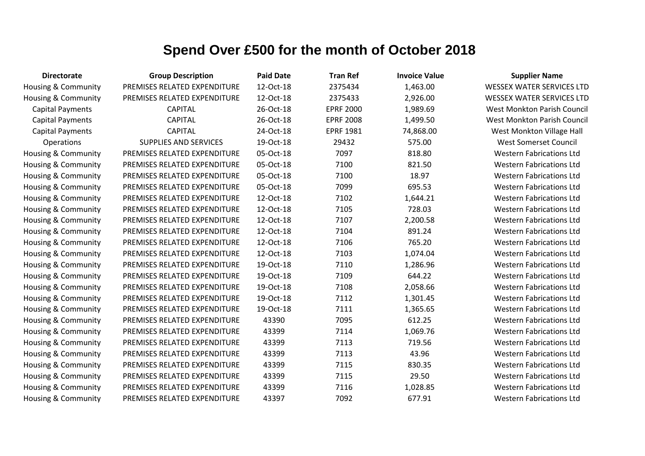| <b>Directorate</b>             | <b>Group Description</b>     | <b>Paid Date</b> | <b>Tran Ref</b>  | <b>Invoice Value</b> | <b>Supplier Name</b>             |
|--------------------------------|------------------------------|------------------|------------------|----------------------|----------------------------------|
| Housing & Community            | PREMISES RELATED EXPENDITURE | 12-Oct-18        | 2375434          | 1,463.00             | <b>WESSEX WATER SERVICES LTD</b> |
| <b>Housing &amp; Community</b> | PREMISES RELATED EXPENDITURE | 12-Oct-18        | 2375433          | 2,926.00             | <b>WESSEX WATER SERVICES LTD</b> |
| <b>Capital Payments</b>        | <b>CAPITAL</b>               | 26-Oct-18        | <b>EPRF 2000</b> | 1,989.69             | West Monkton Parish Council      |
| <b>Capital Payments</b>        | <b>CAPITAL</b>               | 26-Oct-18        | <b>EPRF 2008</b> | 1,499.50             | West Monkton Parish Council      |
| <b>Capital Payments</b>        | <b>CAPITAL</b>               | 24-Oct-18        | <b>EPRF 1981</b> | 74,868.00            | West Monkton Village Hall        |
| Operations                     | <b>SUPPLIES AND SERVICES</b> | 19-Oct-18        | 29432            | 575.00               | <b>West Somerset Council</b>     |
| Housing & Community            | PREMISES RELATED EXPENDITURE | 05-Oct-18        | 7097             | 818.80               | <b>Western Fabrications Ltd</b>  |
| Housing & Community            | PREMISES RELATED EXPENDITURE | 05-Oct-18        | 7100             | 821.50               | <b>Western Fabrications Ltd</b>  |
| Housing & Community            | PREMISES RELATED EXPENDITURE | 05-Oct-18        | 7100             | 18.97                | <b>Western Fabrications Ltd</b>  |
| <b>Housing &amp; Community</b> | PREMISES RELATED EXPENDITURE | 05-Oct-18        | 7099             | 695.53               | <b>Western Fabrications Ltd</b>  |
| Housing & Community            | PREMISES RELATED EXPENDITURE | 12-Oct-18        | 7102             | 1,644.21             | <b>Western Fabrications Ltd</b>  |
| <b>Housing &amp; Community</b> | PREMISES RELATED EXPENDITURE | 12-Oct-18        | 7105             | 728.03               | <b>Western Fabrications Ltd</b>  |
| Housing & Community            | PREMISES RELATED EXPENDITURE | 12-Oct-18        | 7107             | 2,200.58             | <b>Western Fabrications Ltd</b>  |
| <b>Housing &amp; Community</b> | PREMISES RELATED EXPENDITURE | 12-Oct-18        | 7104             | 891.24               | <b>Western Fabrications Ltd</b>  |
| Housing & Community            | PREMISES RELATED EXPENDITURE | 12-Oct-18        | 7106             | 765.20               | <b>Western Fabrications Ltd</b>  |
| Housing & Community            | PREMISES RELATED EXPENDITURE | 12-Oct-18        | 7103             | 1,074.04             | <b>Western Fabrications Ltd</b>  |
| Housing & Community            | PREMISES RELATED EXPENDITURE | 19-Oct-18        | 7110             | 1,286.96             | <b>Western Fabrications Ltd</b>  |
| <b>Housing &amp; Community</b> | PREMISES RELATED EXPENDITURE | 19-Oct-18        | 7109             | 644.22               | <b>Western Fabrications Ltd</b>  |
| Housing & Community            | PREMISES RELATED EXPENDITURE | 19-Oct-18        | 7108             | 2,058.66             | <b>Western Fabrications Ltd</b>  |
| <b>Housing &amp; Community</b> | PREMISES RELATED EXPENDITURE | 19-Oct-18        | 7112             | 1,301.45             | <b>Western Fabrications Ltd</b>  |
| Housing & Community            | PREMISES RELATED EXPENDITURE | 19-Oct-18        | 7111             | 1,365.65             | <b>Western Fabrications Ltd</b>  |
| Housing & Community            | PREMISES RELATED EXPENDITURE | 43390            | 7095             | 612.25               | <b>Western Fabrications Ltd</b>  |
| Housing & Community            | PREMISES RELATED EXPENDITURE | 43399            | 7114             | 1,069.76             | <b>Western Fabrications Ltd</b>  |
| <b>Housing &amp; Community</b> | PREMISES RELATED EXPENDITURE | 43399            | 7113             | 719.56               | <b>Western Fabrications Ltd</b>  |
| <b>Housing &amp; Community</b> | PREMISES RELATED EXPENDITURE | 43399            | 7113             | 43.96                | <b>Western Fabrications Ltd</b>  |
| Housing & Community            | PREMISES RELATED EXPENDITURE | 43399            | 7115             | 830.35               | <b>Western Fabrications Ltd</b>  |
| Housing & Community            | PREMISES RELATED EXPENDITURE | 43399            | 7115             | 29.50                | <b>Western Fabrications Ltd</b>  |
| Housing & Community            | PREMISES RELATED EXPENDITURE | 43399            | 7116             | 1,028.85             | <b>Western Fabrications Ltd</b>  |
| <b>Housing &amp; Community</b> | PREMISES RELATED EXPENDITURE | 43397            | 7092             | 677.91               | <b>Western Fabrications Ltd</b>  |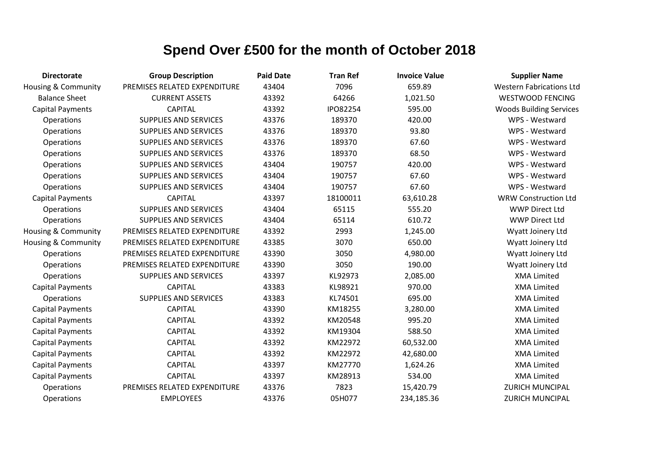| <b>Directorate</b>             | <b>Group Description</b>     | <b>Paid Date</b> | <b>Tran Ref</b> | <b>Invoice Value</b> | <b>Supplier Name</b>            |
|--------------------------------|------------------------------|------------------|-----------------|----------------------|---------------------------------|
| <b>Housing &amp; Community</b> | PREMISES RELATED EXPENDITURE | 43404            | 7096            | 659.89               | <b>Western Fabrications Ltd</b> |
| <b>Balance Sheet</b>           | <b>CURRENT ASSETS</b>        | 43392            | 64266           | 1,021.50             | <b>WESTWOOD FENCING</b>         |
| <b>Capital Payments</b>        | <b>CAPITAL</b>               | 43392            | IPO82254        | 595.00               | <b>Woods Building Services</b>  |
| Operations                     | <b>SUPPLIES AND SERVICES</b> | 43376            | 189370          | 420.00               | WPS - Westward                  |
| Operations                     | <b>SUPPLIES AND SERVICES</b> | 43376            | 189370          | 93.80                | WPS - Westward                  |
| Operations                     | <b>SUPPLIES AND SERVICES</b> | 43376            | 189370          | 67.60                | WPS - Westward                  |
| Operations                     | <b>SUPPLIES AND SERVICES</b> | 43376            | 189370          | 68.50                | WPS - Westward                  |
| Operations                     | <b>SUPPLIES AND SERVICES</b> | 43404            | 190757          | 420.00               | WPS - Westward                  |
| Operations                     | <b>SUPPLIES AND SERVICES</b> | 43404            | 190757          | 67.60                | WPS - Westward                  |
| Operations                     | <b>SUPPLIES AND SERVICES</b> | 43404            | 190757          | 67.60                | WPS - Westward                  |
| <b>Capital Payments</b>        | <b>CAPITAL</b>               | 43397            | 18100011        | 63,610.28            | <b>WRW Construction Ltd</b>     |
| Operations                     | <b>SUPPLIES AND SERVICES</b> | 43404            | 65115           | 555.20               | <b>WWP Direct Ltd</b>           |
| Operations                     | <b>SUPPLIES AND SERVICES</b> | 43404            | 65114           | 610.72               | <b>WWP Direct Ltd</b>           |
| <b>Housing &amp; Community</b> | PREMISES RELATED EXPENDITURE | 43392            | 2993            | 1,245.00             | Wyatt Joinery Ltd               |
| Housing & Community            | PREMISES RELATED EXPENDITURE | 43385            | 3070            | 650.00               | Wyatt Joinery Ltd               |
| Operations                     | PREMISES RELATED EXPENDITURE | 43390            | 3050            | 4,980.00             | Wyatt Joinery Ltd               |
| Operations                     | PREMISES RELATED EXPENDITURE | 43390            | 3050            | 190.00               | Wyatt Joinery Ltd               |
| Operations                     | <b>SUPPLIES AND SERVICES</b> | 43397            | KL92973         | 2,085.00             | <b>XMA Limited</b>              |
| <b>Capital Payments</b>        | <b>CAPITAL</b>               | 43383            | KL98921         | 970.00               | <b>XMA Limited</b>              |
| Operations                     | <b>SUPPLIES AND SERVICES</b> | 43383            | KL74501         | 695.00               | <b>XMA Limited</b>              |
| <b>Capital Payments</b>        | <b>CAPITAL</b>               | 43390            | KM18255         | 3,280.00             | <b>XMA Limited</b>              |
| <b>Capital Payments</b>        | <b>CAPITAL</b>               | 43392            | KM20548         | 995.20               | <b>XMA Limited</b>              |
| <b>Capital Payments</b>        | <b>CAPITAL</b>               | 43392            | KM19304         | 588.50               | <b>XMA Limited</b>              |
| <b>Capital Payments</b>        | <b>CAPITAL</b>               | 43392            | KM22972         | 60,532.00            | <b>XMA Limited</b>              |
| <b>Capital Payments</b>        | <b>CAPITAL</b>               | 43392            | KM22972         | 42,680.00            | <b>XMA Limited</b>              |
| <b>Capital Payments</b>        | <b>CAPITAL</b>               | 43397            | KM27770         | 1,624.26             | <b>XMA Limited</b>              |
| <b>Capital Payments</b>        | <b>CAPITAL</b>               | 43397            | KM28913         | 534.00               | <b>XMA Limited</b>              |
| Operations                     | PREMISES RELATED EXPENDITURE | 43376            | 7823            | 15,420.79            | <b>ZURICH MUNCIPAL</b>          |
| Operations                     | <b>EMPLOYEES</b>             | 43376            | 05H077          | 234,185.36           | <b>ZURICH MUNCIPAL</b>          |